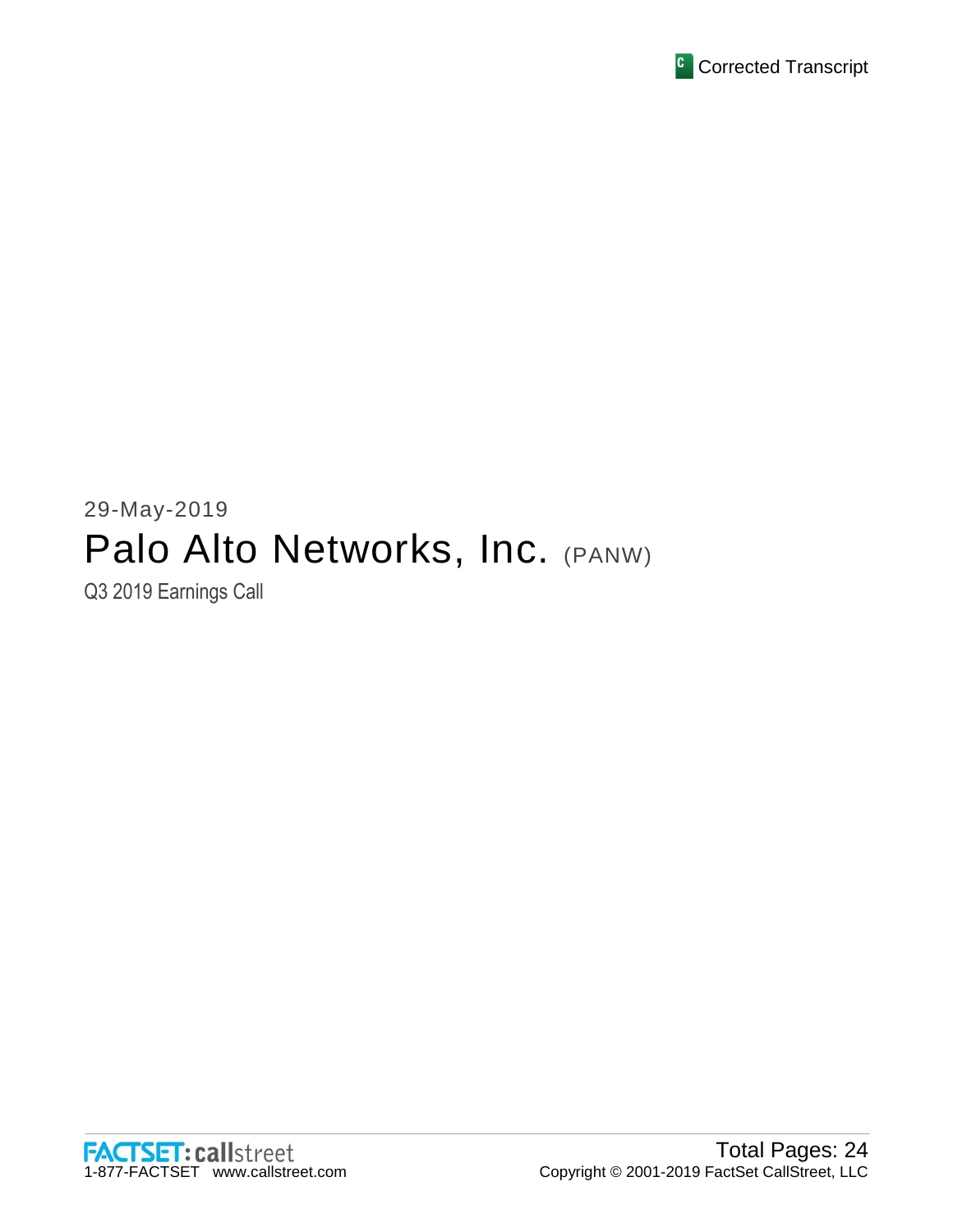

# 29-May-2019 Palo Alto Networks, Inc. (PANW)

Q3 2019 Earnings Call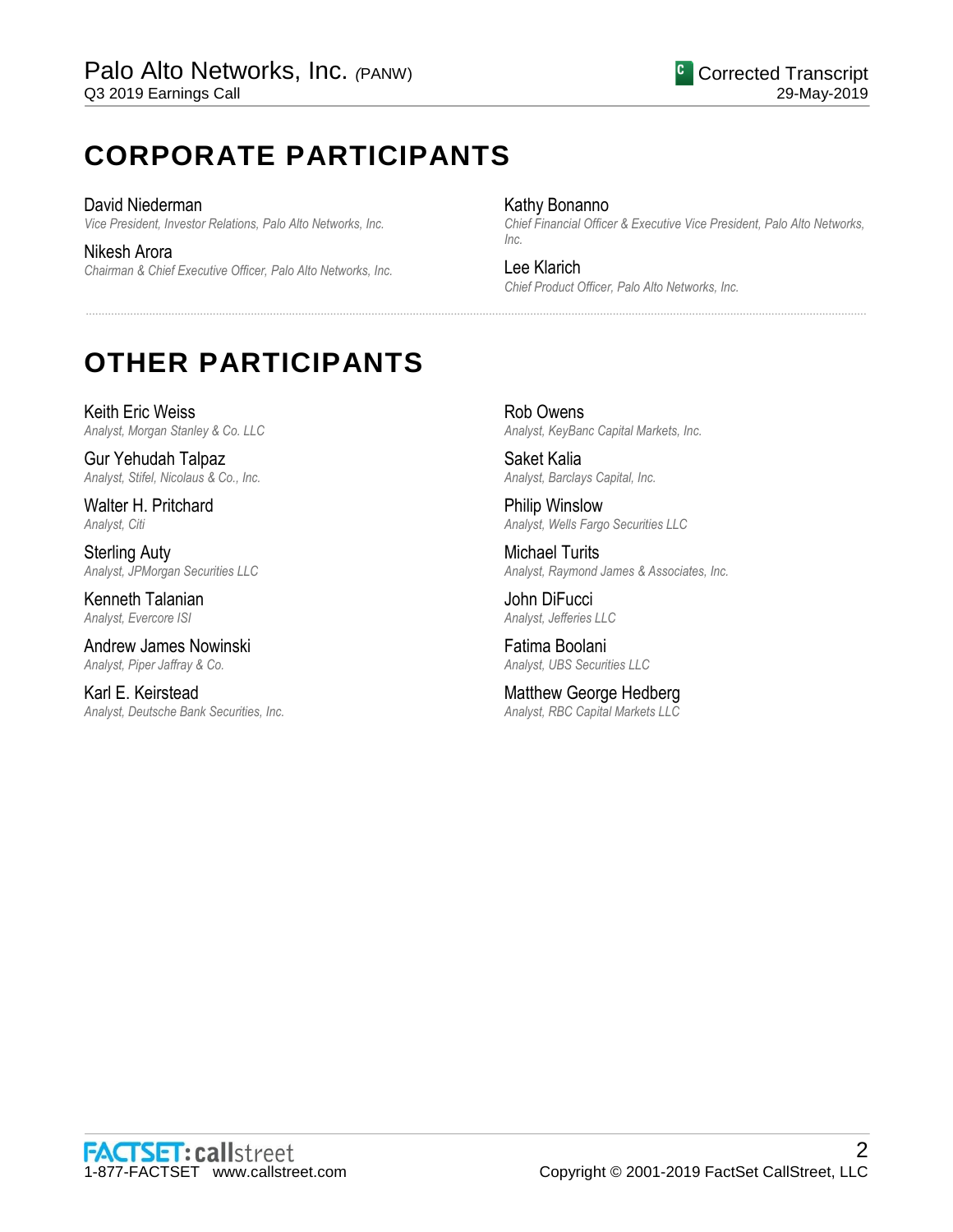# **CORPORATE PARTICIPANTS**

David Niederman *Vice President, Investor Relations, Palo Alto Networks, Inc.*

Nikesh Arora *Chairman & Chief Executive Officer, Palo Alto Networks, Inc.*

### Kathy Bonanno

*Chief Financial Officer & Executive Vice President, Palo Alto Networks, Inc.*

## Lee Klarich

......................................................................................................................................................................................................................................................

*Chief Product Officer, Palo Alto Networks, Inc.*

# **OTHER PARTICIPANTS**

Keith Eric Weiss *Analyst, Morgan Stanley & Co. LLC*

Gur Yehudah Talpaz *Analyst, Stifel, Nicolaus & Co., Inc.*

Walter H. Pritchard *Analyst, Citi*

Sterling Auty *Analyst, JPMorgan Securities LLC*

Kenneth Talanian *Analyst, Evercore ISI*

Andrew James Nowinski *Analyst, Piper Jaffray & Co.*

Karl E. Keirstead *Analyst, Deutsche Bank Securities, Inc.*

Rob Owens *Analyst, KeyBanc Capital Markets, Inc.*

Saket Kalia *Analyst, Barclays Capital, Inc.*

Philip Winslow *Analyst, Wells Fargo Securities LLC*

Michael Turits *Analyst, Raymond James & Associates, Inc.*

John DiFucci *Analyst, Jefferies LLC*

Fatima Boolani *Analyst, UBS Securities LLC*

Matthew George Hedberg *Analyst, RBC Capital Markets LLC*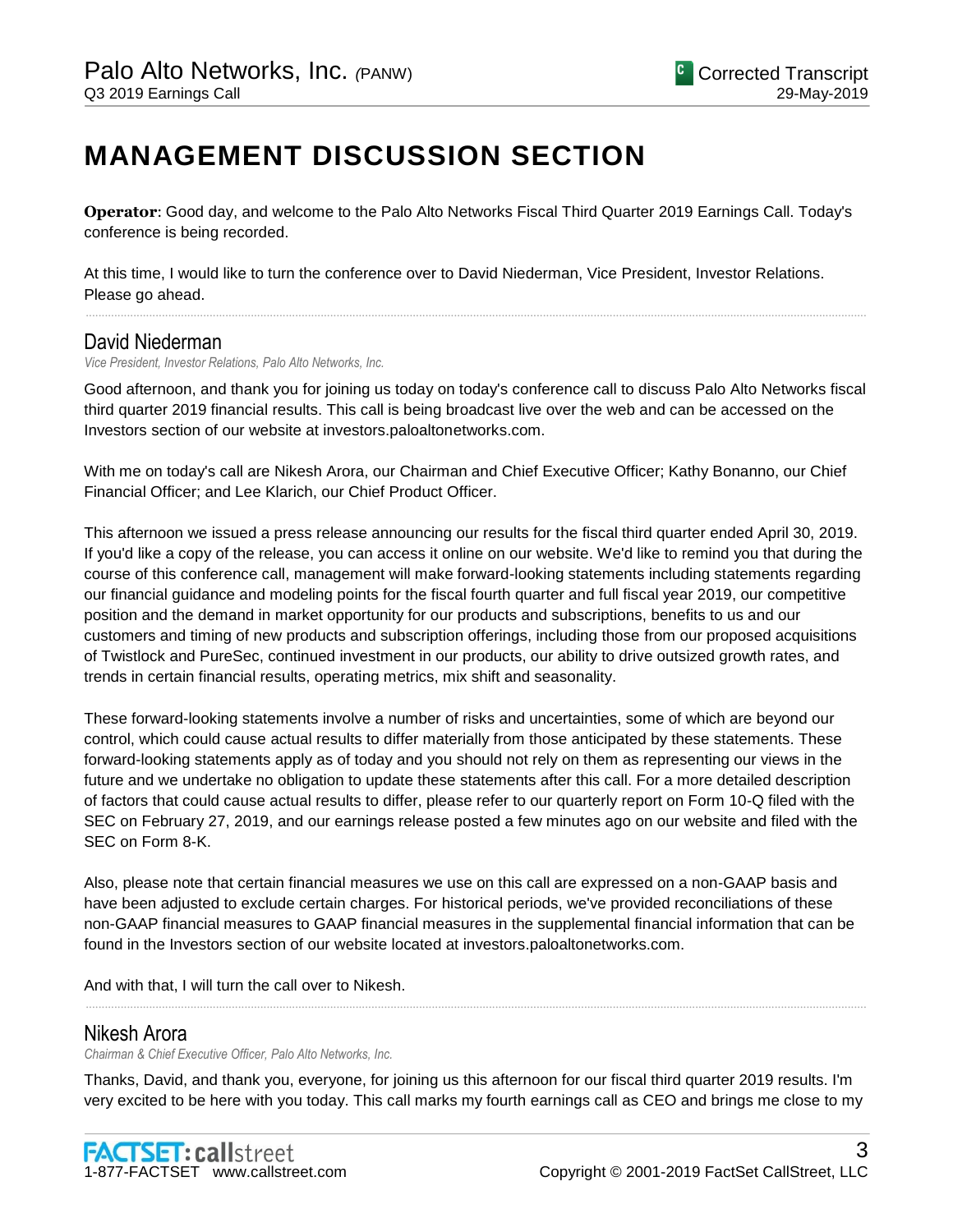# **MANAGEMENT DISCUSSION SECTION**

**Operator**: Good day, and welcome to the Palo Alto Networks Fiscal Third Quarter 2019 Earnings Call. Today's conference is being recorded.

At this time, I would like to turn the conference over to David Niederman, Vice President, Investor Relations. Please go ahead.

## David Niederman

*Vice President, Investor Relations, Palo Alto Networks, Inc.*

Good afternoon, and thank you for joining us today on today's conference call to discuss Palo Alto Networks fiscal third quarter 2019 financial results. This call is being broadcast live over the web and can be accessed on the Investors section of our website at investors.paloaltonetworks.com.

......................................................................................................................................................................................................................................................

With me on today's call are Nikesh Arora, our Chairman and Chief Executive Officer; Kathy Bonanno, our Chief Financial Officer; and Lee Klarich, our Chief Product Officer.

This afternoon we issued a press release announcing our results for the fiscal third quarter ended April 30, 2019. If you'd like a copy of the release, you can access it online on our website. We'd like to remind you that during the course of this conference call, management will make forward-looking statements including statements regarding our financial guidance and modeling points for the fiscal fourth quarter and full fiscal year 2019, our competitive position and the demand in market opportunity for our products and subscriptions, benefits to us and our customers and timing of new products and subscription offerings, including those from our proposed acquisitions of Twistlock and PureSec, continued investment in our products, our ability to drive outsized growth rates, and trends in certain financial results, operating metrics, mix shift and seasonality.

These forward-looking statements involve a number of risks and uncertainties, some of which are beyond our control, which could cause actual results to differ materially from those anticipated by these statements. These forward-looking statements apply as of today and you should not rely on them as representing our views in the future and we undertake no obligation to update these statements after this call. For a more detailed description of factors that could cause actual results to differ, please refer to our quarterly report on Form 10-Q filed with the SEC on February 27, 2019, and our earnings release posted a few minutes ago on our website and filed with the SEC on Form 8-K.

Also, please note that certain financial measures we use on this call are expressed on a non-GAAP basis and have been adjusted to exclude certain charges. For historical periods, we've provided reconciliations of these non-GAAP financial measures to GAAP financial measures in the supplemental financial information that can be found in the Investors section of our website located at investors.paloaltonetworks.com.

And with that, I will turn the call over to Nikesh.

# Nikesh Arora

*Chairman & Chief Executive Officer, Palo Alto Networks, Inc.*

Thanks, David, and thank you, everyone, for joining us this afternoon for our fiscal third quarter 2019 results. I'm very excited to be here with you today. This call marks my fourth earnings call as CEO and brings me close to my

......................................................................................................................................................................................................................................................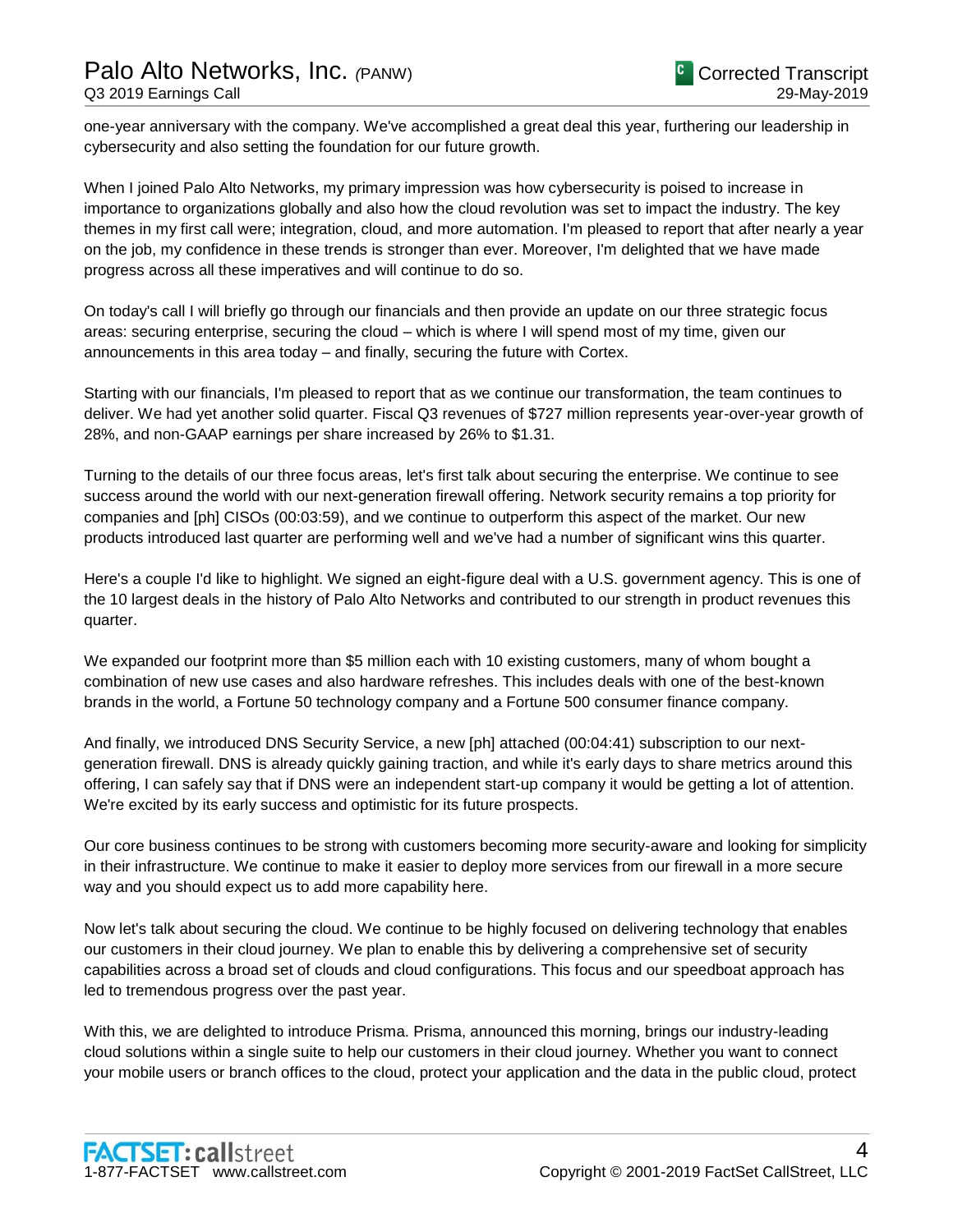one-year anniversary with the company. We've accomplished a great deal this year, furthering our leadership in cybersecurity and also setting the foundation for our future growth.

When I joined Palo Alto Networks, my primary impression was how cybersecurity is poised to increase in importance to organizations globally and also how the cloud revolution was set to impact the industry. The key themes in my first call were; integration, cloud, and more automation. I'm pleased to report that after nearly a year on the job, my confidence in these trends is stronger than ever. Moreover, I'm delighted that we have made progress across all these imperatives and will continue to do so.

On today's call I will briefly go through our financials and then provide an update on our three strategic focus areas: securing enterprise, securing the cloud – which is where I will spend most of my time, given our announcements in this area today – and finally, securing the future with Cortex.

Starting with our financials, I'm pleased to report that as we continue our transformation, the team continues to deliver. We had yet another solid quarter. Fiscal Q3 revenues of \$727 million represents year-over-year growth of 28%, and non-GAAP earnings per share increased by 26% to \$1.31.

Turning to the details of our three focus areas, let's first talk about securing the enterprise. We continue to see success around the world with our next-generation firewall offering. Network security remains a top priority for companies and [ph] CISOs (00:03:59), and we continue to outperform this aspect of the market. Our new products introduced last quarter are performing well and we've had a number of significant wins this quarter.

Here's a couple I'd like to highlight. We signed an eight-figure deal with a U.S. government agency. This is one of the 10 largest deals in the history of Palo Alto Networks and contributed to our strength in product revenues this quarter.

We expanded our footprint more than \$5 million each with 10 existing customers, many of whom bought a combination of new use cases and also hardware refreshes. This includes deals with one of the best-known brands in the world, a Fortune 50 technology company and a Fortune 500 consumer finance company.

And finally, we introduced DNS Security Service, a new [ph] attached (00:04:41) subscription to our nextgeneration firewall. DNS is already quickly gaining traction, and while it's early days to share metrics around this offering, I can safely say that if DNS were an independent start-up company it would be getting a lot of attention. We're excited by its early success and optimistic for its future prospects.

Our core business continues to be strong with customers becoming more security-aware and looking for simplicity in their infrastructure. We continue to make it easier to deploy more services from our firewall in a more secure way and you should expect us to add more capability here.

Now let's talk about securing the cloud. We continue to be highly focused on delivering technology that enables our customers in their cloud journey. We plan to enable this by delivering a comprehensive set of security capabilities across a broad set of clouds and cloud configurations. This focus and our speedboat approach has led to tremendous progress over the past year.

With this, we are delighted to introduce Prisma. Prisma, announced this morning, brings our industry-leading cloud solutions within a single suite to help our customers in their cloud journey. Whether you want to connect your mobile users or branch offices to the cloud, protect your application and the data in the public cloud, protect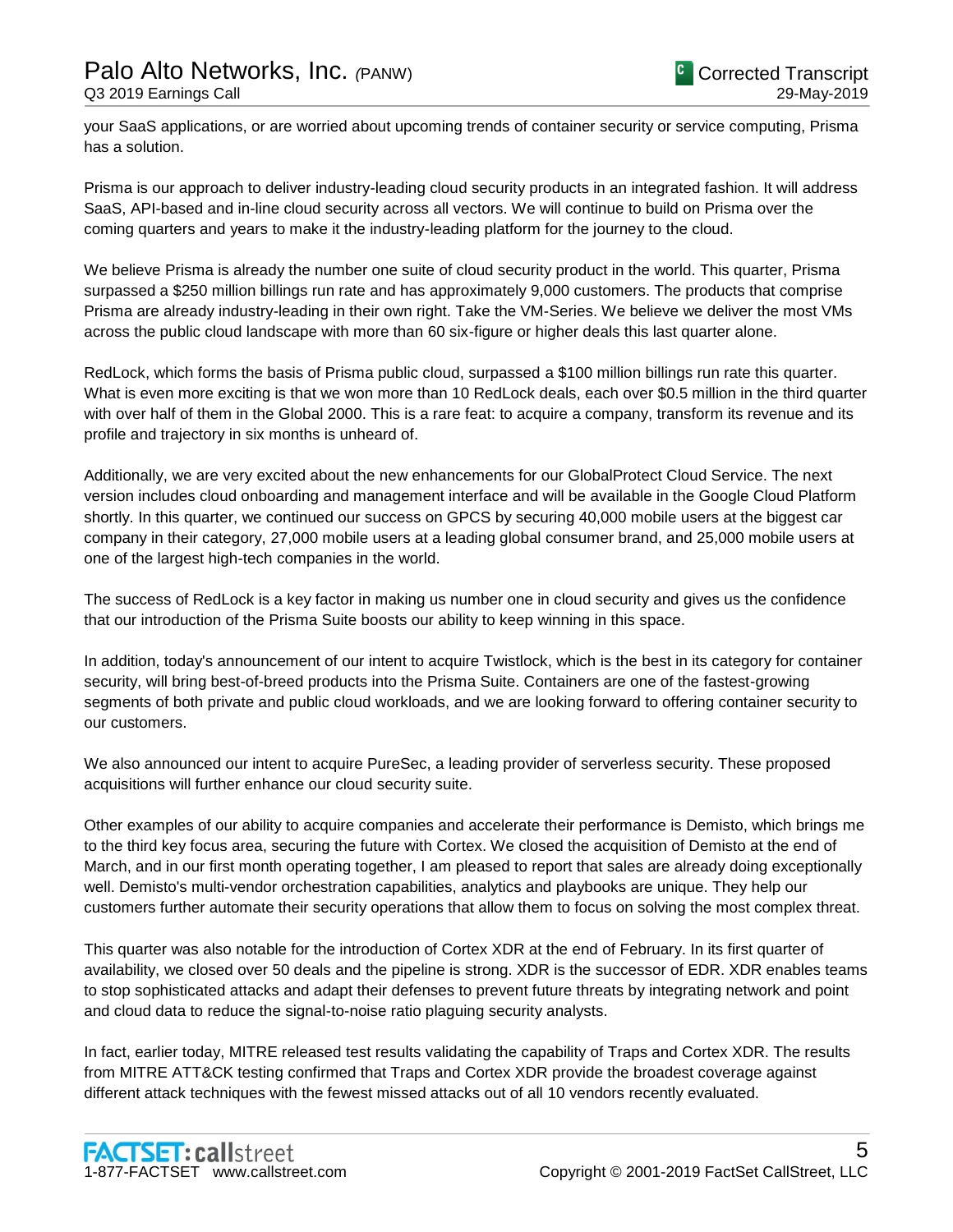your SaaS applications, or are worried about upcoming trends of container security or service computing, Prisma has a solution.

Prisma is our approach to deliver industry-leading cloud security products in an integrated fashion. It will address SaaS, API-based and in-line cloud security across all vectors. We will continue to build on Prisma over the coming quarters and years to make it the industry-leading platform for the journey to the cloud.

We believe Prisma is already the number one suite of cloud security product in the world. This quarter, Prisma surpassed a \$250 million billings run rate and has approximately 9,000 customers. The products that comprise Prisma are already industry-leading in their own right. Take the VM-Series. We believe we deliver the most VMs across the public cloud landscape with more than 60 six-figure or higher deals this last quarter alone.

RedLock, which forms the basis of Prisma public cloud, surpassed a \$100 million billings run rate this quarter. What is even more exciting is that we won more than 10 RedLock deals, each over \$0.5 million in the third quarter with over half of them in the Global 2000. This is a rare feat: to acquire a company, transform its revenue and its profile and trajectory in six months is unheard of.

Additionally, we are very excited about the new enhancements for our GlobalProtect Cloud Service. The next version includes cloud onboarding and management interface and will be available in the Google Cloud Platform shortly. In this quarter, we continued our success on GPCS by securing 40,000 mobile users at the biggest car company in their category, 27,000 mobile users at a leading global consumer brand, and 25,000 mobile users at one of the largest high-tech companies in the world.

The success of RedLock is a key factor in making us number one in cloud security and gives us the confidence that our introduction of the Prisma Suite boosts our ability to keep winning in this space.

In addition, today's announcement of our intent to acquire Twistlock, which is the best in its category for container security, will bring best-of-breed products into the Prisma Suite. Containers are one of the fastest-growing segments of both private and public cloud workloads, and we are looking forward to offering container security to our customers.

We also announced our intent to acquire PureSec, a leading provider of serverless security. These proposed acquisitions will further enhance our cloud security suite.

Other examples of our ability to acquire companies and accelerate their performance is Demisto, which brings me to the third key focus area, securing the future with Cortex. We closed the acquisition of Demisto at the end of March, and in our first month operating together, I am pleased to report that sales are already doing exceptionally well. Demisto's multi-vendor orchestration capabilities, analytics and playbooks are unique. They help our customers further automate their security operations that allow them to focus on solving the most complex threat.

This quarter was also notable for the introduction of Cortex XDR at the end of February. In its first quarter of availability, we closed over 50 deals and the pipeline is strong. XDR is the successor of EDR. XDR enables teams to stop sophisticated attacks and adapt their defenses to prevent future threats by integrating network and point and cloud data to reduce the signal-to-noise ratio plaguing security analysts.

In fact, earlier today, MITRE released test results validating the capability of Traps and Cortex XDR. The results from MITRE ATT&CK testing confirmed that Traps and Cortex XDR provide the broadest coverage against different attack techniques with the fewest missed attacks out of all 10 vendors recently evaluated.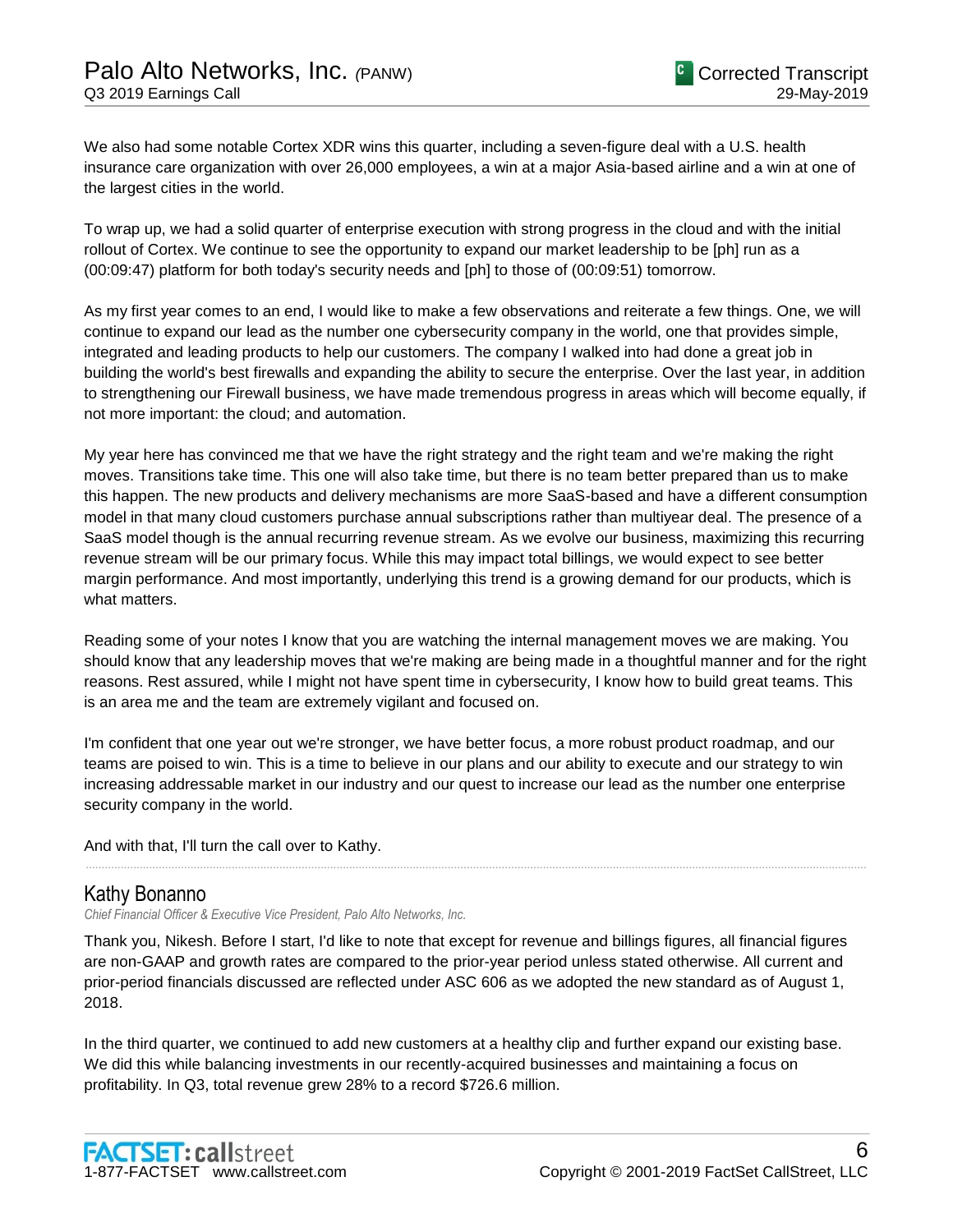We also had some notable Cortex XDR wins this quarter, including a seven-figure deal with a U.S. health insurance care organization with over 26,000 employees, a win at a major Asia-based airline and a win at one of the largest cities in the world.

To wrap up, we had a solid quarter of enterprise execution with strong progress in the cloud and with the initial rollout of Cortex. We continue to see the opportunity to expand our market leadership to be [ph] run as a (00:09:47) platform for both today's security needs and [ph] to those of (00:09:51) tomorrow.

As my first year comes to an end, I would like to make a few observations and reiterate a few things. One, we will continue to expand our lead as the number one cybersecurity company in the world, one that provides simple, integrated and leading products to help our customers. The company I walked into had done a great job in building the world's best firewalls and expanding the ability to secure the enterprise. Over the last year, in addition to strengthening our Firewall business, we have made tremendous progress in areas which will become equally, if not more important: the cloud; and automation.

My year here has convinced me that we have the right strategy and the right team and we're making the right moves. Transitions take time. This one will also take time, but there is no team better prepared than us to make this happen. The new products and delivery mechanisms are more SaaS-based and have a different consumption model in that many cloud customers purchase annual subscriptions rather than multiyear deal. The presence of a SaaS model though is the annual recurring revenue stream. As we evolve our business, maximizing this recurring revenue stream will be our primary focus. While this may impact total billings, we would expect to see better margin performance. And most importantly, underlying this trend is a growing demand for our products, which is what matters.

Reading some of your notes I know that you are watching the internal management moves we are making. You should know that any leadership moves that we're making are being made in a thoughtful manner and for the right reasons. Rest assured, while I might not have spent time in cybersecurity, I know how to build great teams. This is an area me and the team are extremely vigilant and focused on.

I'm confident that one year out we're stronger, we have better focus, a more robust product roadmap, and our teams are poised to win. This is a time to believe in our plans and our ability to execute and our strategy to win increasing addressable market in our industry and our quest to increase our lead as the number one enterprise security company in the world.

......................................................................................................................................................................................................................................................

And with that, I'll turn the call over to Kathy.

# Kathy Bonanno

*Chief Financial Officer & Executive Vice President, Palo Alto Networks, Inc.*

Thank you, Nikesh. Before I start, I'd like to note that except for revenue and billings figures, all financial figures are non-GAAP and growth rates are compared to the prior-year period unless stated otherwise. All current and prior-period financials discussed are reflected under ASC 606 as we adopted the new standard as of August 1, 2018.

In the third quarter, we continued to add new customers at a healthy clip and further expand our existing base. We did this while balancing investments in our recently-acquired businesses and maintaining a focus on profitability. In Q3, total revenue grew 28% to a record \$726.6 million.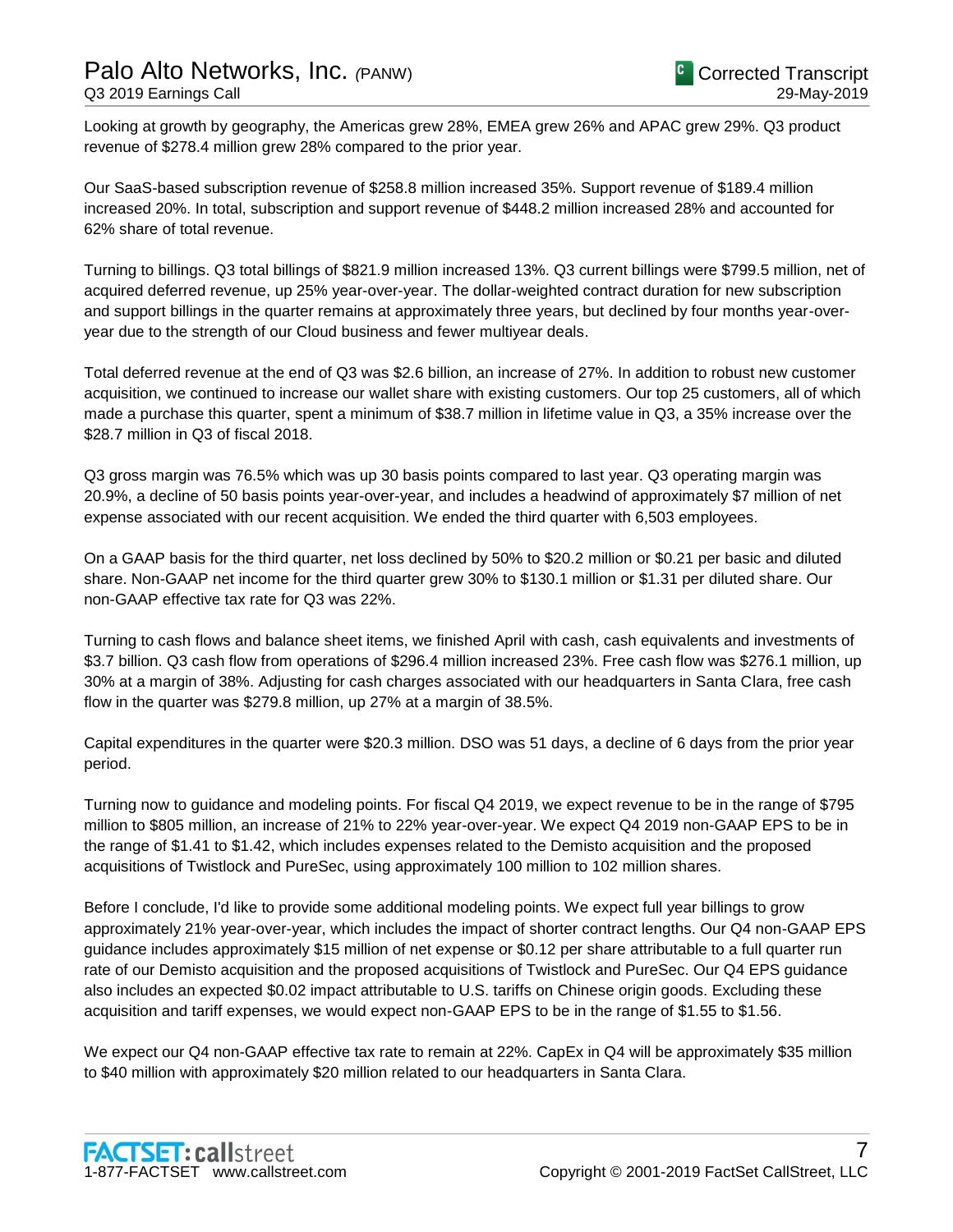Looking at growth by geography, the Americas grew 28%, EMEA grew 26% and APAC grew 29%. Q3 product revenue of \$278.4 million grew 28% compared to the prior year.

Our SaaS-based subscription revenue of \$258.8 million increased 35%. Support revenue of \$189.4 million increased 20%. In total, subscription and support revenue of \$448.2 million increased 28% and accounted for 62% share of total revenue.

Turning to billings. Q3 total billings of \$821.9 million increased 13%. Q3 current billings were \$799.5 million, net of acquired deferred revenue, up 25% year-over-year. The dollar-weighted contract duration for new subscription and support billings in the quarter remains at approximately three years, but declined by four months year-overyear due to the strength of our Cloud business and fewer multiyear deals.

Total deferred revenue at the end of Q3 was \$2.6 billion, an increase of 27%. In addition to robust new customer acquisition, we continued to increase our wallet share with existing customers. Our top 25 customers, all of which made a purchase this quarter, spent a minimum of \$38.7 million in lifetime value in Q3, a 35% increase over the \$28.7 million in Q3 of fiscal 2018.

Q3 gross margin was 76.5% which was up 30 basis points compared to last year. Q3 operating margin was 20.9%, a decline of 50 basis points year-over-year, and includes a headwind of approximately \$7 million of net expense associated with our recent acquisition. We ended the third quarter with 6,503 employees.

On a GAAP basis for the third quarter, net loss declined by 50% to \$20.2 million or \$0.21 per basic and diluted share. Non-GAAP net income for the third quarter grew 30% to \$130.1 million or \$1.31 per diluted share. Our non-GAAP effective tax rate for Q3 was 22%.

Turning to cash flows and balance sheet items, we finished April with cash, cash equivalents and investments of \$3.7 billion. Q3 cash flow from operations of \$296.4 million increased 23%. Free cash flow was \$276.1 million, up 30% at a margin of 38%. Adjusting for cash charges associated with our headquarters in Santa Clara, free cash flow in the quarter was \$279.8 million, up 27% at a margin of 38.5%.

Capital expenditures in the quarter were \$20.3 million. DSO was 51 days, a decline of 6 days from the prior year period.

Turning now to guidance and modeling points. For fiscal Q4 2019, we expect revenue to be in the range of \$795 million to \$805 million, an increase of 21% to 22% year-over-year. We expect Q4 2019 non-GAAP EPS to be in the range of \$1.41 to \$1.42, which includes expenses related to the Demisto acquisition and the proposed acquisitions of Twistlock and PureSec, using approximately 100 million to 102 million shares.

Before I conclude, I'd like to provide some additional modeling points. We expect full year billings to grow approximately 21% year-over-year, which includes the impact of shorter contract lengths. Our Q4 non-GAAP EPS guidance includes approximately \$15 million of net expense or \$0.12 per share attributable to a full quarter run rate of our Demisto acquisition and the proposed acquisitions of Twistlock and PureSec. Our Q4 EPS guidance also includes an expected \$0.02 impact attributable to U.S. tariffs on Chinese origin goods. Excluding these acquisition and tariff expenses, we would expect non-GAAP EPS to be in the range of \$1.55 to \$1.56.

We expect our Q4 non-GAAP effective tax rate to remain at 22%. CapEx in Q4 will be approximately \$35 million to \$40 million with approximately \$20 million related to our headquarters in Santa Clara.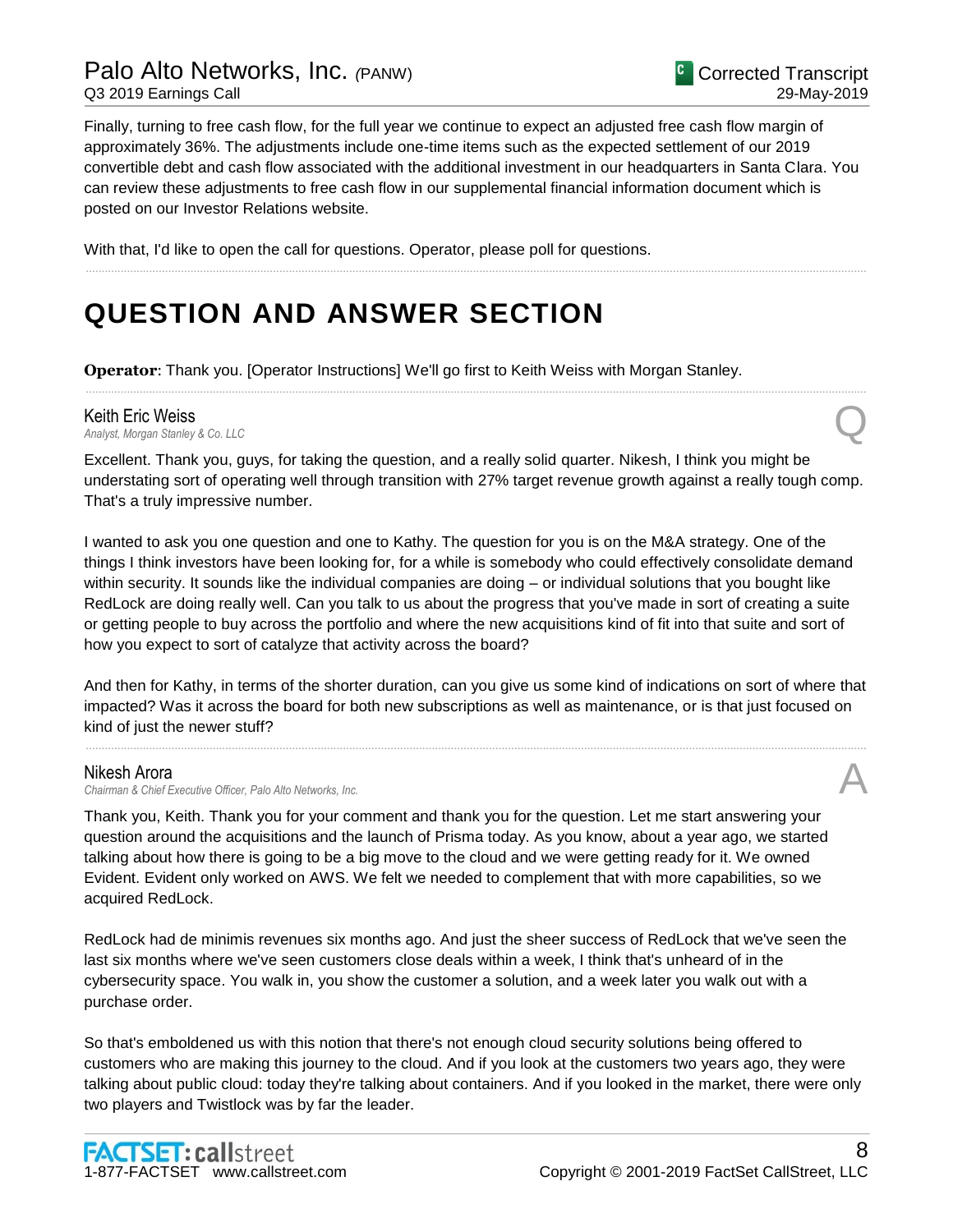Finally, turning to free cash flow, for the full year we continue to expect an adjusted free cash flow margin of approximately 36%. The adjustments include one-time items such as the expected settlement of our 2019 convertible debt and cash flow associated with the additional investment in our headquarters in Santa Clara. You can review these adjustments to free cash flow in our supplemental financial information document which is posted on our Investor Relations website.

......................................................................................................................................................................................................................................................

With that, I'd like to open the call for questions. Operator, please poll for questions.

# **QUESTION AND ANSWER SECTION**

**Operator**: Thank you. [Operator Instructions] We'll go first to Keith Weiss with Morgan Stanley.

# **Keith Eric Weiss**<br>Analyst, Morgan Stanley & Co. LLC *Analyst, Morgan Stanley & Co. LLC* Q

Excellent. Thank you, guys, for taking the question, and a really solid quarter. Nikesh, I think you might be understating sort of operating well through transition with 27% target revenue growth against a really tough comp. That's a truly impressive number.

......................................................................................................................................................................................................................................................

I wanted to ask you one question and one to Kathy. The question for you is on the M&A strategy. One of the things I think investors have been looking for, for a while is somebody who could effectively consolidate demand within security. It sounds like the individual companies are doing – or individual solutions that you bought like RedLock are doing really well. Can you talk to us about the progress that you've made in sort of creating a suite or getting people to buy across the portfolio and where the new acquisitions kind of fit into that suite and sort of how you expect to sort of catalyze that activity across the board?

And then for Kathy, in terms of the shorter duration, can you give us some kind of indications on sort of where that impacted? Was it across the board for both new subscriptions as well as maintenance, or is that just focused on kind of just the newer stuff?

......................................................................................................................................................................................................................................................

### Nikesh Arora

*Chairman & Chief Executive Officer, Palo Alto Networks, Inc.* A

Thank you, Keith. Thank you for your comment and thank you for the question. Let me start answering your question around the acquisitions and the launch of Prisma today. As you know, about a year ago, we started talking about how there is going to be a big move to the cloud and we were getting ready for it. We owned Evident. Evident only worked on AWS. We felt we needed to complement that with more capabilities, so we acquired RedLock.

RedLock had de minimis revenues six months ago. And just the sheer success of RedLock that we've seen the last six months where we've seen customers close deals within a week, I think that's unheard of in the cybersecurity space. You walk in, you show the customer a solution, and a week later you walk out with a purchase order.

So that's emboldened us with this notion that there's not enough cloud security solutions being offered to customers who are making this journey to the cloud. And if you look at the customers two years ago, they were talking about public cloud: today they're talking about containers. And if you looked in the market, there were only two players and Twistlock was by far the leader.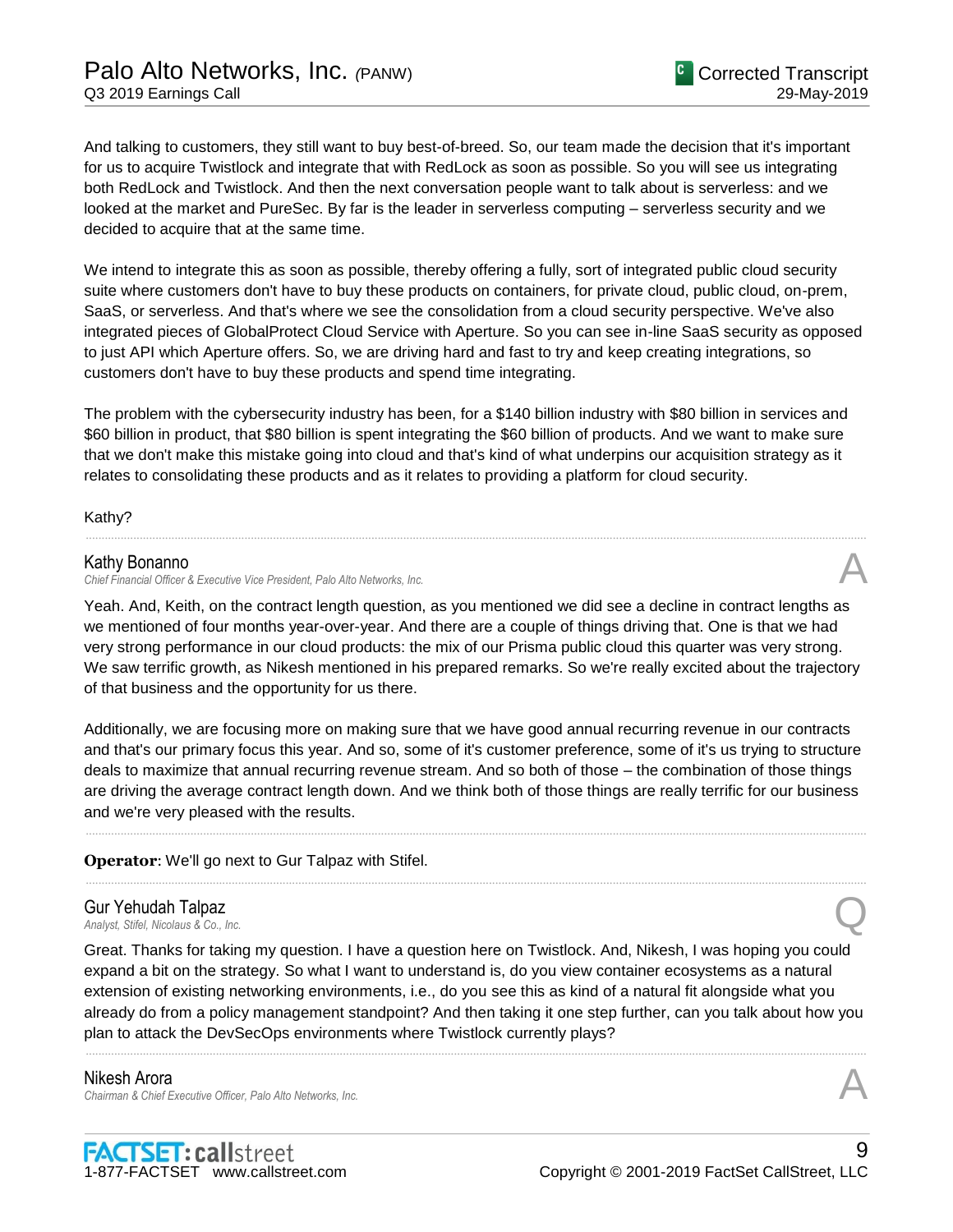And talking to customers, they still want to buy best-of-breed. So, our team made the decision that it's important for us to acquire Twistlock and integrate that with RedLock as soon as possible. So you will see us integrating both RedLock and Twistlock. And then the next conversation people want to talk about is serverless: and we looked at the market and PureSec. By far is the leader in serverless computing – serverless security and we decided to acquire that at the same time.

We intend to integrate this as soon as possible, thereby offering a fully, sort of integrated public cloud security suite where customers don't have to buy these products on containers, for private cloud, public cloud, on-prem, SaaS, or serverless. And that's where we see the consolidation from a cloud security perspective. We've also integrated pieces of GlobalProtect Cloud Service with Aperture. So you can see in-line SaaS security as opposed to just API which Aperture offers. So, we are driving hard and fast to try and keep creating integrations, so customers don't have to buy these products and spend time integrating.

The problem with the cybersecurity industry has been, for a \$140 billion industry with \$80 billion in services and \$60 billion in product, that \$80 billion is spent integrating the \$60 billion of products. And we want to make sure that we don't make this mistake going into cloud and that's kind of what underpins our acquisition strategy as it relates to consolidating these products and as it relates to providing a platform for cloud security.

Kathy?

#### Kathy Bonanno

*Chief Financial Officer & Executive Vice President, Palo Alto Networks, Inc.* A

Yeah. And, Keith, on the contract length question, as you mentioned we did see a decline in contract lengths as we mentioned of four months year-over-year. And there are a couple of things driving that. One is that we had very strong performance in our cloud products: the mix of our Prisma public cloud this quarter was very strong. We saw terrific growth, as Nikesh mentioned in his prepared remarks. So we're really excited about the trajectory of that business and the opportunity for us there.

......................................................................................................................................................................................................................................................

Additionally, we are focusing more on making sure that we have good annual recurring revenue in our contracts and that's our primary focus this year. And so, some of it's customer preference, some of it's us trying to structure deals to maximize that annual recurring revenue stream. And so both of those – the combination of those things are driving the average contract length down. And we think both of those things are really terrific for our business and we're very pleased with the results.

......................................................................................................................................................................................................................................................

......................................................................................................................................................................................................................................................

#### **Operator**: We'll go next to Gur Talpaz with Stifel.

# **Gur Yehudah Talpaz**<br>Analyst, Stifel, Nicolaus & Co., Inc. *Analyst, Stifel, Nicolaus & Co., Inc.* Q

Great. Thanks for taking my question. I have a question here on Twistlock. And, Nikesh, I was hoping you could expand a bit on the strategy. So what I want to understand is, do you view container ecosystems as a natural extension of existing networking environments, i.e., do you see this as kind of a natural fit alongside what you already do from a policy management standpoint? And then taking it one step further, can you talk about how you plan to attack the DevSecOps environments where Twistlock currently plays?

......................................................................................................................................................................................................................................................

#### Nikesh Arora *Chairman & Chief Executive Officer, Palo Alto Networks, Inc.* A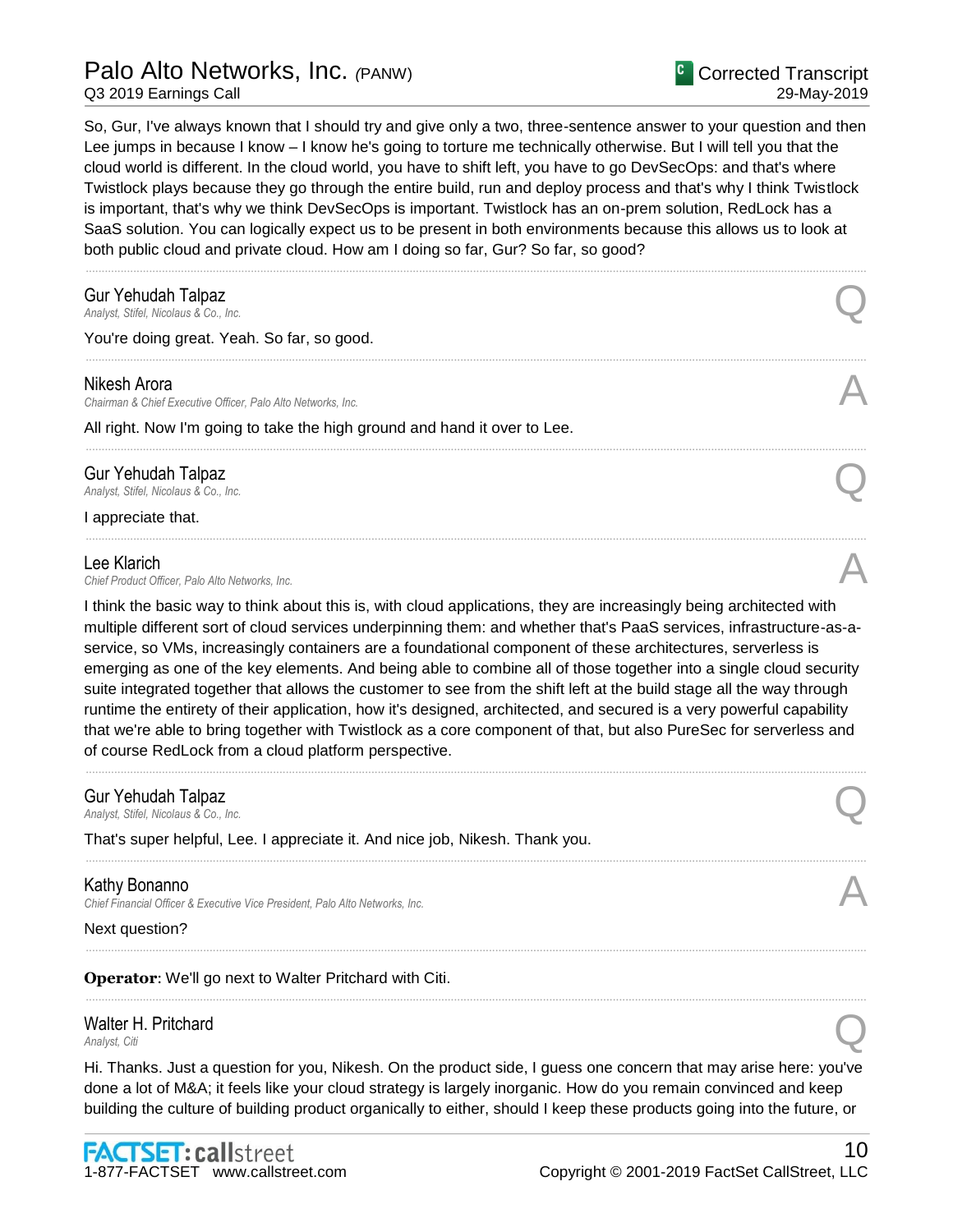So, Gur, I've always known that I should try and give only a two, three-sentence answer to your question and then Lee jumps in because I know – I know he's going to torture me technically otherwise. But I will tell you that the cloud world is different. In the cloud world, you have to shift left, you have to go DevSecOps: and that's where Twistlock plays because they go through the entire build, run and deploy process and that's why I think Twistlock is important, that's why we think DevSecOps is important. Twistlock has an on-prem solution, RedLock has a SaaS solution. You can logically expect us to be present in both environments because this allows us to look at both public cloud and private cloud. How am I doing so far, Gur? So far, so good?

......................................................................................................................................................................................................................................................

......................................................................................................................................................................................................................................................

......................................................................................................................................................................................................................................................

......................................................................................................................................................................................................................................................

# **Gur Yehudah Talpaz**<br>Analyst, Stifel, Nicolaus & Co., Inc. *Analyst, Stifel, Nicolaus & Co., Inc.* Q

You're doing great. Yeah. So far, so good.

#### Nikesh Arora

*Chairman & Chief Executive Officer, Palo Alto Networks, Inc.* A

All right. Now I'm going to take the high ground and hand it over to Lee.

# Gur Yehudah Talpaz *Analyst, Stifel, Nicolaus & Co., Inc.* Q

I appreciate that.

#### Lee Klarich

Lee Klarich<br>Chief Product Officer, Palo Alto Networks, Inc.

I think the basic way to think about this is, with cloud applications, they are increasingly being architected with multiple different sort of cloud services underpinning them: and whether that's PaaS services, infrastructure-as-aservice, so VMs, increasingly containers are a foundational component of these architectures, serverless is emerging as one of the key elements. And being able to combine all of those together into a single cloud security suite integrated together that allows the customer to see from the shift left at the build stage all the way through runtime the entirety of their application, how it's designed, architected, and secured is a very powerful capability that we're able to bring together with Twistlock as a core component of that, but also PureSec for serverless and of course RedLock from a cloud platform perspective.

......................................................................................................................................................................................................................................................

......................................................................................................................................................................................................................................................

......................................................................................................................................................................................................................................................

......................................................................................................................................................................................................................................................

# Gur Yehudah Talpaz *Analyst, Stifel, Nicolaus & Co., Inc.* Q

That's super helpful, Lee. I appreciate it. And nice job, Nikesh. Thank you.

### Kathy Bonanno

*Chief Financial Officer & Executive Vice President, Palo Alto Networks, Inc.* A

Next question?

**Operator**: We'll go next to Walter Pritchard with Citi.

# Walter H. Pritchard **Malter H. Pritchard**<br>
Analyst, Citi

Hi. Thanks. Just a question for you, Nikesh. On the product side, I guess one concern that may arise here: you've done a lot of M&A; it feels like your cloud strategy is largely inorganic. How do you remain convinced and keep building the culture of building product organically to either, should I keep these products going into the future, or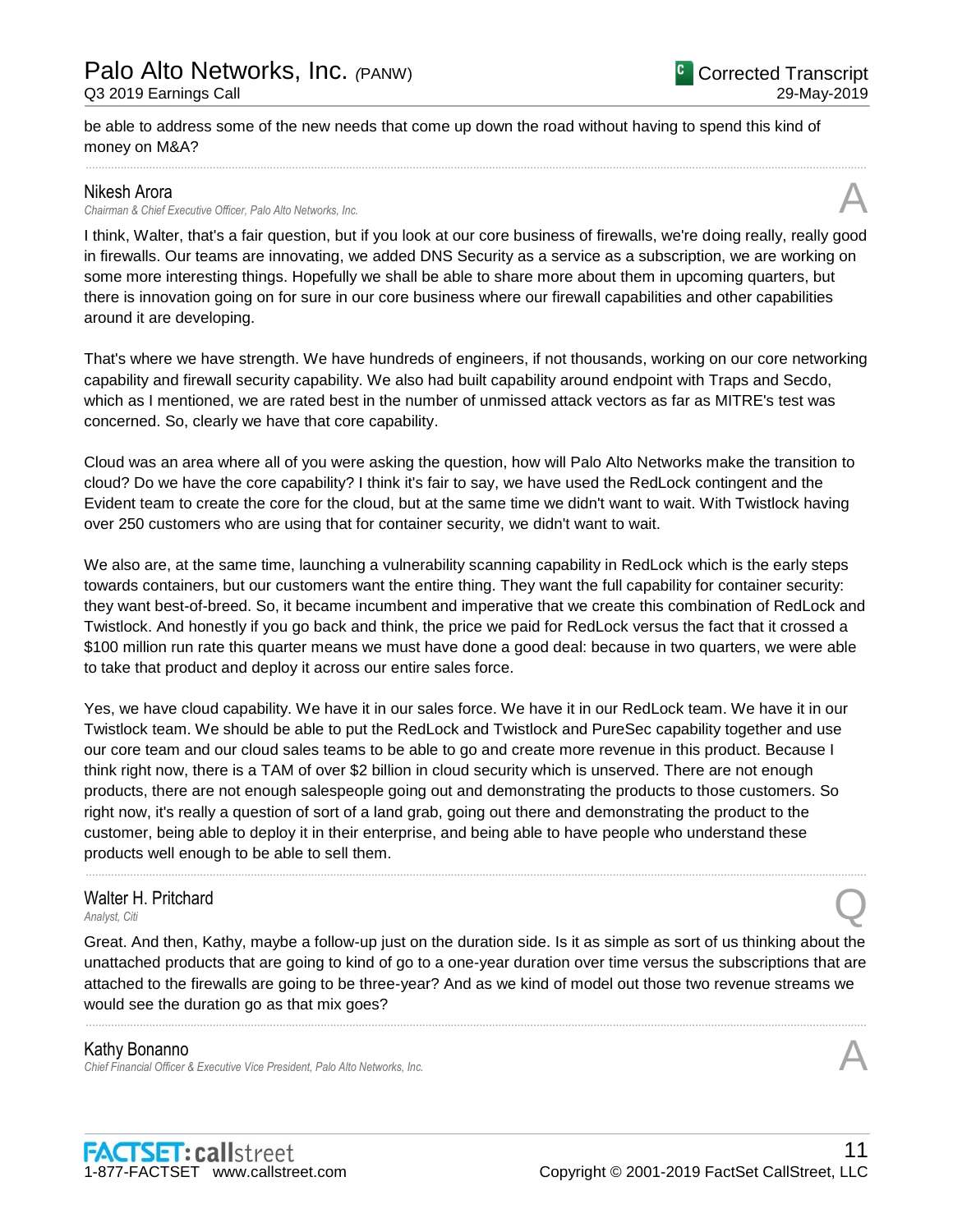be able to address some of the new needs that come up down the road without having to spend this kind of money on M&A?

### Nikesh Arora

*Chairman & Chief Executive Officer, Palo Alto Networks, Inc.* A

I think, Walter, that's a fair question, but if you look at our core business of firewalls, we're doing really, really good in firewalls. Our teams are innovating, we added DNS Security as a service as a subscription, we are working on some more interesting things. Hopefully we shall be able to share more about them in upcoming quarters, but there is innovation going on for sure in our core business where our firewall capabilities and other capabilities around it are developing.

......................................................................................................................................................................................................................................................

That's where we have strength. We have hundreds of engineers, if not thousands, working on our core networking capability and firewall security capability. We also had built capability around endpoint with Traps and Secdo, which as I mentioned, we are rated best in the number of unmissed attack vectors as far as MITRE's test was concerned. So, clearly we have that core capability.

Cloud was an area where all of you were asking the question, how will Palo Alto Networks make the transition to cloud? Do we have the core capability? I think it's fair to say, we have used the RedLock contingent and the Evident team to create the core for the cloud, but at the same time we didn't want to wait. With Twistlock having over 250 customers who are using that for container security, we didn't want to wait.

We also are, at the same time, launching a vulnerability scanning capability in RedLock which is the early steps towards containers, but our customers want the entire thing. They want the full capability for container security: they want best-of-breed. So, it became incumbent and imperative that we create this combination of RedLock and Twistlock. And honestly if you go back and think, the price we paid for RedLock versus the fact that it crossed a \$100 million run rate this quarter means we must have done a good deal: because in two quarters, we were able to take that product and deploy it across our entire sales force.

Yes, we have cloud capability. We have it in our sales force. We have it in our RedLock team. We have it in our Twistlock team. We should be able to put the RedLock and Twistlock and PureSec capability together and use our core team and our cloud sales teams to be able to go and create more revenue in this product. Because I think right now, there is a TAM of over \$2 billion in cloud security which is unserved. There are not enough products, there are not enough salespeople going out and demonstrating the products to those customers. So right now, it's really a question of sort of a land grab, going out there and demonstrating the product to the customer, being able to deploy it in their enterprise, and being able to have people who understand these products well enough to be able to sell them.

# Walter H. Pritchard **Malter H. Pritchard**<br>
Analyst, Citi

Great. And then, Kathy, maybe a follow-up just on the duration side. Is it as simple as sort of us thinking about the unattached products that are going to kind of go to a one-year duration over time versus the subscriptions that are attached to the firewalls are going to be three-year? And as we kind of model out those two revenue streams we would see the duration go as that mix goes?

......................................................................................................................................................................................................................................................

......................................................................................................................................................................................................................................................

# Kathy Bonanno

*Chief Financial Officer & Executive Vice President, Palo Alto Networks, Inc.* A

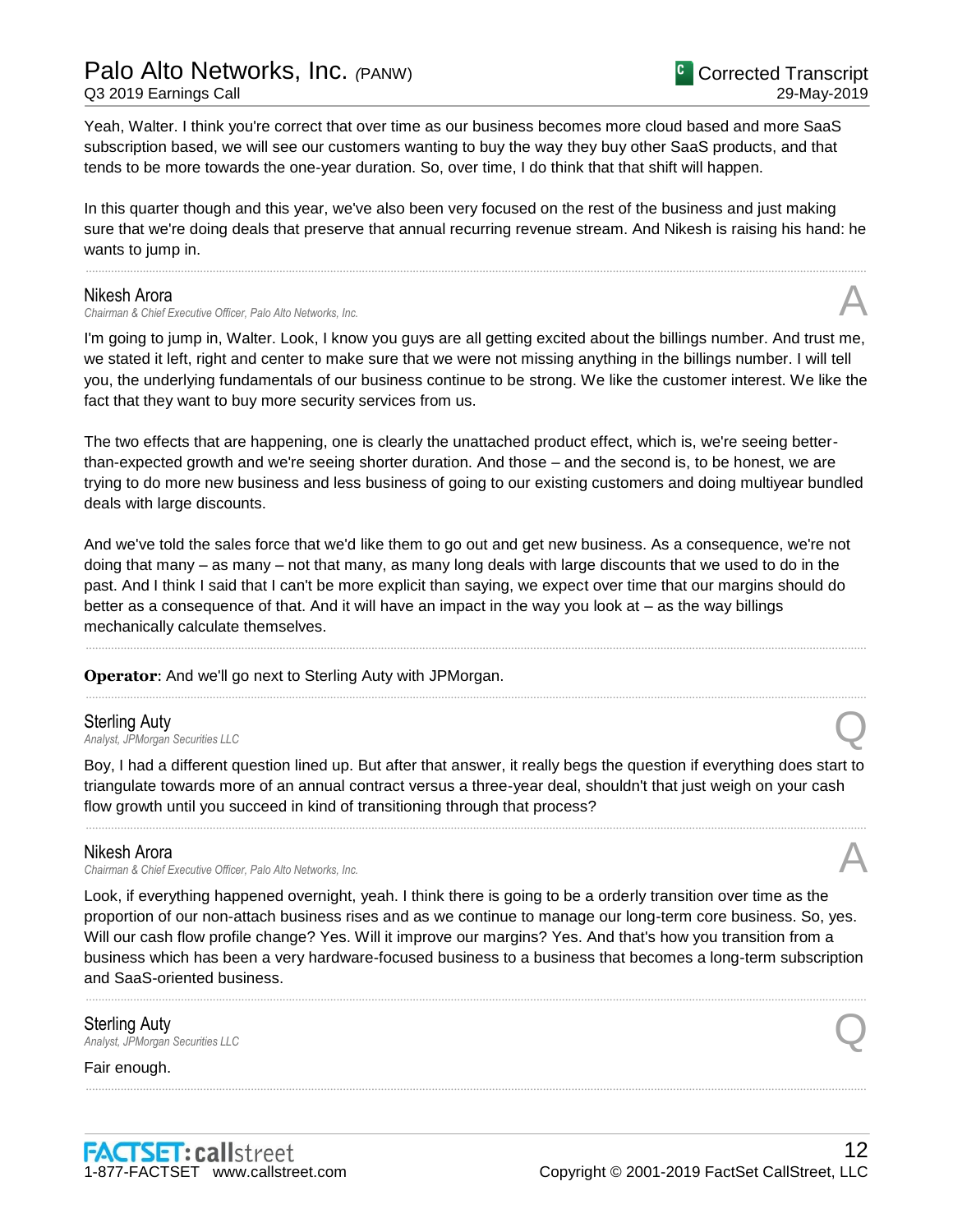# Palo Alto Networks, Inc. *(*PANW)

Q3 2019 Earnings Call

Yeah, Walter. I think you're correct that over time as our business becomes more cloud based and more SaaS subscription based, we will see our customers wanting to buy the way they buy other SaaS products, and that tends to be more towards the one-year duration. So, over time, I do think that that shift will happen.

In this quarter though and this year, we've also been very focused on the rest of the business and just making sure that we're doing deals that preserve that annual recurring revenue stream. And Nikesh is raising his hand: he wants to jump in.

......................................................................................................................................................................................................................................................

### Nikesh Arora

**Chairman & Chief Executive Officer, Palo Alto Networks, Inc.** 

I'm going to jump in, Walter. Look, I know you guys are all getting excited about the billings number. And trust me, we stated it left, right and center to make sure that we were not missing anything in the billings number. I will tell you, the underlying fundamentals of our business continue to be strong. We like the customer interest. We like the fact that they want to buy more security services from us.

The two effects that are happening, one is clearly the unattached product effect, which is, we're seeing betterthan-expected growth and we're seeing shorter duration. And those – and the second is, to be honest, we are trying to do more new business and less business of going to our existing customers and doing multiyear bundled deals with large discounts.

And we've told the sales force that we'd like them to go out and get new business. As a consequence, we're not doing that many – as many – not that many, as many long deals with large discounts that we used to do in the past. And I think I said that I can't be more explicit than saying, we expect over time that our margins should do better as a consequence of that. And it will have an impact in the way you look at – as the way billings mechanically calculate themselves.

......................................................................................................................................................................................................................................................

......................................................................................................................................................................................................................................................

**Operator**: And we'll go next to Sterling Auty with JPMorgan.

**Sterling Auty**<br>Analyst, JPMorgan Securities LLC **Sterling Auty**<br>Analyst, JPMorgan Securities LLC

Boy, I had a different question lined up. But after that answer, it really begs the question if everything does start to triangulate towards more of an annual contract versus a three-year deal, shouldn't that just weigh on your cash flow growth until you succeed in kind of transitioning through that process?

......................................................................................................................................................................................................................................................

### Nikesh Arora

*Chairman & Chief Executive Officer, Palo Alto Networks, Inc.* A

Look, if everything happened overnight, yeah. I think there is going to be a orderly transition over time as the proportion of our non-attach business rises and as we continue to manage our long-term core business. So, yes. Will our cash flow profile change? Yes. Will it improve our margins? Yes. And that's how you transition from a business which has been a very hardware-focused business to a business that becomes a long-term subscription and SaaS-oriented business.

......................................................................................................................................................................................................................................................

......................................................................................................................................................................................................................................................

Sterling Auty **Sterling Auty**<br>Analyst, JPMorgan Securities LLC

Fair enough.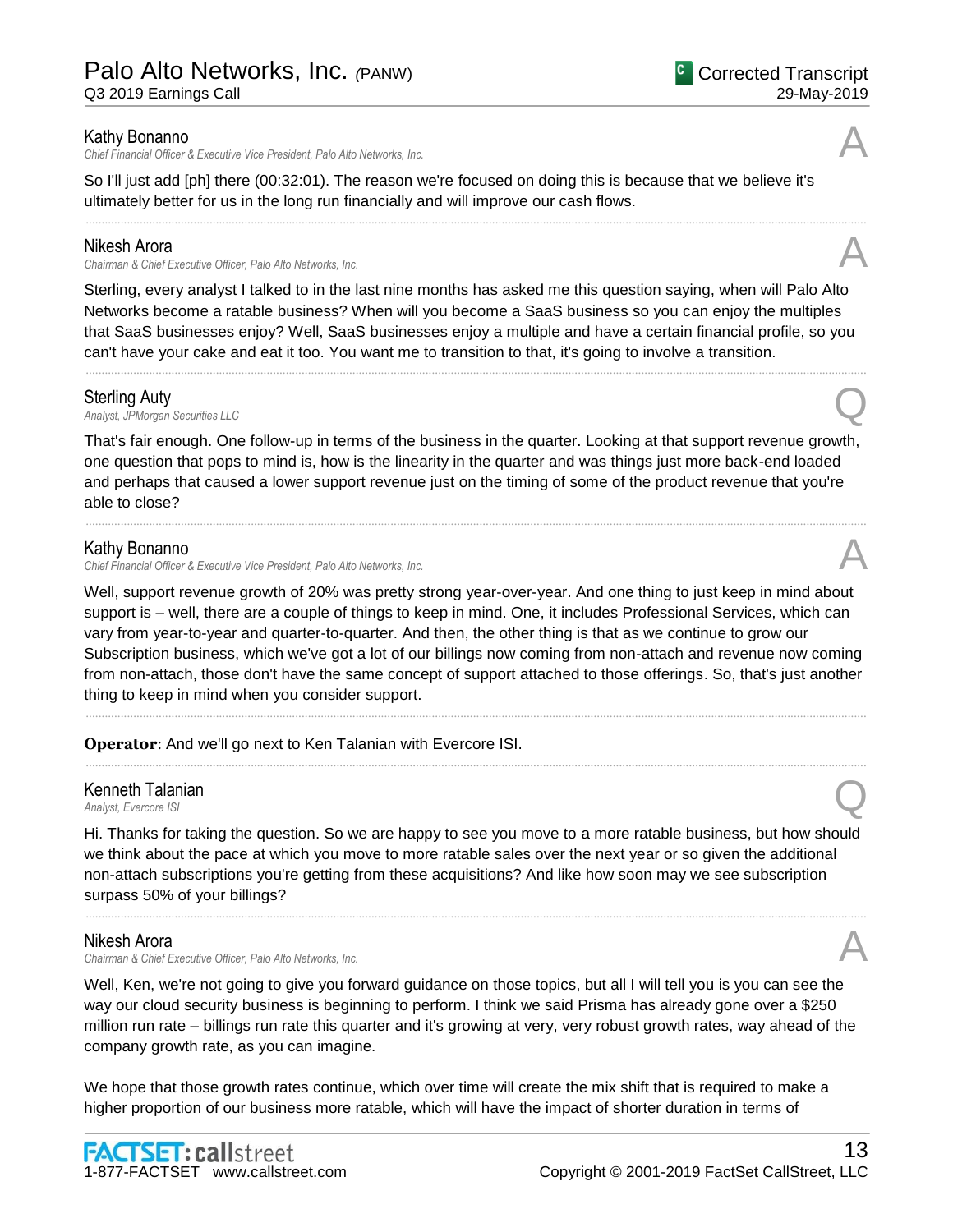*Chief Financial Officer & Executive Vice President, Palo Alto Networks, Inc.* A

So I'll just add [ph] there (00:32:01). The reason we're focused on doing this is because that we believe it's ultimately better for us in the long run financially and will improve our cash flows.

## Nikesh Arora

**Chairman & Chief Executive Officer, Palo Alto Networks, Inc.** 

Sterling, every analyst I talked to in the last nine months has asked me this question saying, when will Palo Alto Networks become a ratable business? When will you become a SaaS business so you can enjoy the multiples that SaaS businesses enjoy? Well, SaaS businesses enjoy a multiple and have a certain financial profile, so you can't have your cake and eat it too. You want me to transition to that, it's going to involve a transition.

......................................................................................................................................................................................................................................................

......................................................................................................................................................................................................................................................

## Sterling Auty

**Sterling Auty**<br>Analyst, JPMorgan Securities LLC

That's fair enough. One follow-up in terms of the business in the quarter. Looking at that support revenue growth, one question that pops to mind is, how is the linearity in the quarter and was things just more back-end loaded and perhaps that caused a lower support revenue just on the timing of some of the product revenue that you're able to close?

......................................................................................................................................................................................................................................................

## Kathy Bonanno

*Chief Financial Officer & Executive Vice President, Palo Alto Networks, Inc.* A

Well, support revenue growth of 20% was pretty strong year-over-year. And one thing to just keep in mind about support is – well, there are a couple of things to keep in mind. One, it includes Professional Services, which can vary from year-to-year and quarter-to-quarter. And then, the other thing is that as we continue to grow our Subscription business, which we've got a lot of our billings now coming from non-attach and revenue now coming from non-attach, those don't have the same concept of support attached to those offerings. So, that's just another thing to keep in mind when you consider support.

......................................................................................................................................................................................................................................................

......................................................................................................................................................................................................................................................

**Operator**: And we'll go next to Ken Talanian with Evercore ISI.

# Kenneth Talanian *Analyst, Evercore ISI* Q<br>Analyst, Evercore ISI

Hi. Thanks for taking the question. So we are happy to see you move to a more ratable business, but how should we think about the pace at which you move to more ratable sales over the next year or so given the additional non-attach subscriptions you're getting from these acquisitions? And like how soon may we see subscription surpass 50% of your billings?

......................................................................................................................................................................................................................................................

## Nikesh Arora

*Chairman & Chief Executive Officer, Palo Alto Networks, Inc.* A

Well, Ken, we're not going to give you forward guidance on those topics, but all I will tell you is you can see the way our cloud security business is beginning to perform. I think we said Prisma has already gone over a \$250 million run rate – billings run rate this quarter and it's growing at very, very robust growth rates, way ahead of the company growth rate, as you can imagine.

We hope that those growth rates continue, which over time will create the mix shift that is required to make a higher proportion of our business more ratable, which will have the impact of shorter duration in terms of





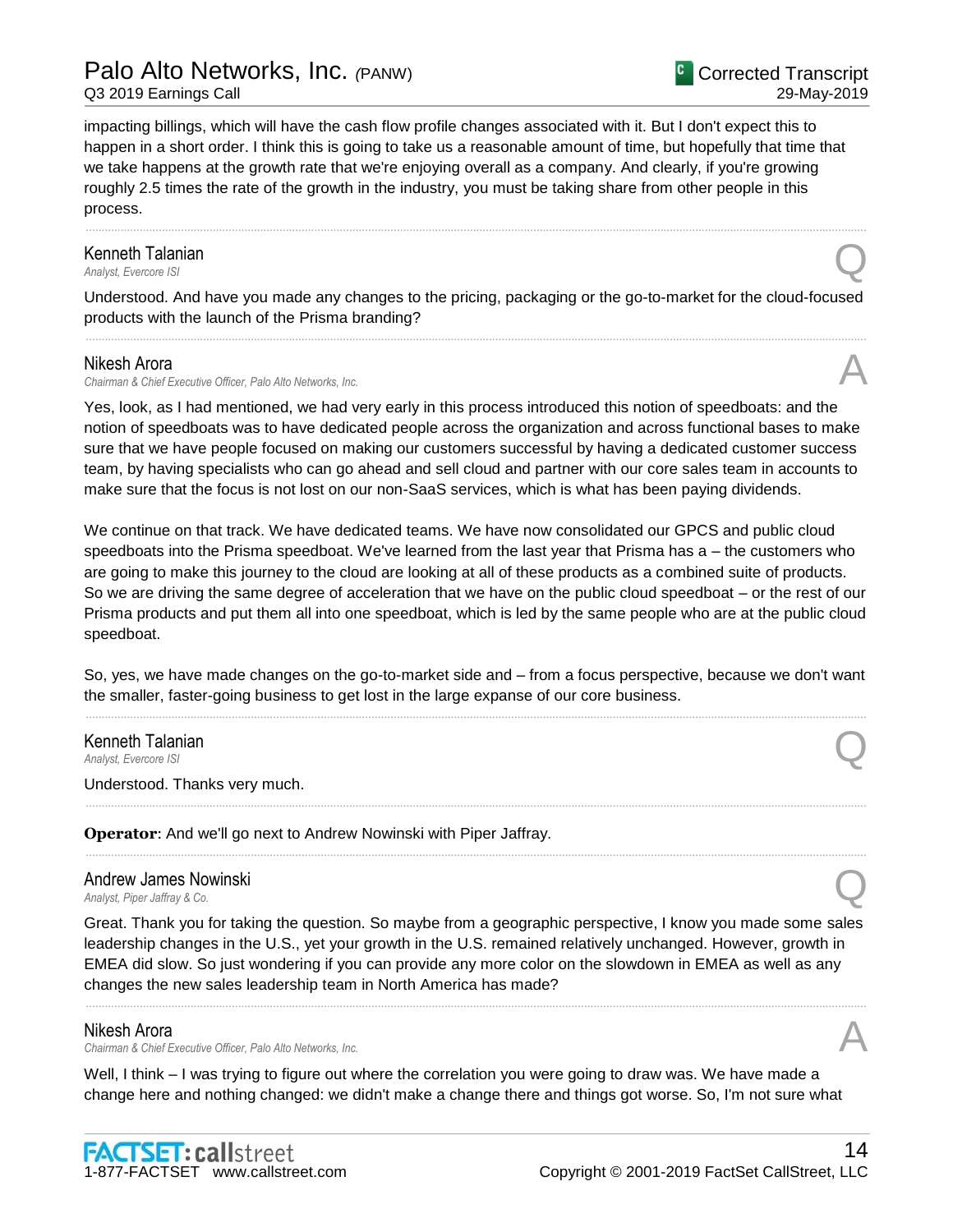impacting billings, which will have the cash flow profile changes associated with it. But I don't expect this to happen in a short order. I think this is going to take us a reasonable amount of time, but hopefully that time that we take happens at the growth rate that we're enjoying overall as a company. And clearly, if you're growing roughly 2.5 times the rate of the growth in the industry, you must be taking share from other people in this process.

# Kenneth Talanian **Kenneth Talanian**<br>Analyst, Evercore ISI

Understood. And have you made any changes to the pricing, packaging or the go-to-market for the cloud-focused products with the launch of the Prisma branding? ......................................................................................................................................................................................................................................................

......................................................................................................................................................................................................................................................

#### Nikesh Arora

*Chairman & Chief Executive Officer, Palo Alto Networks, Inc.* A

Yes, look, as I had mentioned, we had very early in this process introduced this notion of speedboats: and the notion of speedboats was to have dedicated people across the organization and across functional bases to make sure that we have people focused on making our customers successful by having a dedicated customer success team, by having specialists who can go ahead and sell cloud and partner with our core sales team in accounts to make sure that the focus is not lost on our non-SaaS services, which is what has been paying dividends.

We continue on that track. We have dedicated teams. We have now consolidated our GPCS and public cloud speedboats into the Prisma speedboat. We've learned from the last year that Prisma has a – the customers who are going to make this journey to the cloud are looking at all of these products as a combined suite of products. So we are driving the same degree of acceleration that we have on the public cloud speedboat – or the rest of our Prisma products and put them all into one speedboat, which is led by the same people who are at the public cloud speedboat.

So, yes, we have made changes on the go-to-market side and – from a focus perspective, because we don't want the smaller, faster-going business to get lost in the large expanse of our core business. ......................................................................................................................................................................................................................................................

......................................................................................................................................................................................................................................................

......................................................................................................................................................................................................................................................

# Kenneth Talanian *Analyst, Evercore ISI*<br>Analyst, Evercore ISI

Understood. Thanks very much.

**Operator**: And we'll go next to Andrew Nowinski with Piper Jaffray.

# Andrew James Nowinski *Analyst, Piper Jaffray & Co.* Q

Great. Thank you for taking the question. So maybe from a geographic perspective, I know you made some sales leadership changes in the U.S., yet your growth in the U.S. remained relatively unchanged. However, growth in EMEA did slow. So just wondering if you can provide any more color on the slowdown in EMEA as well as any changes the new sales leadership team in North America has made?

......................................................................................................................................................................................................................................................

#### Nikesh Arora

*Chairman & Chief Executive Officer, Palo Alto Networks, Inc.* A

Well, I think – I was trying to figure out where the correlation you were going to draw was. We have made a change here and nothing changed: we didn't make a change there and things got worse. So, I'm not sure what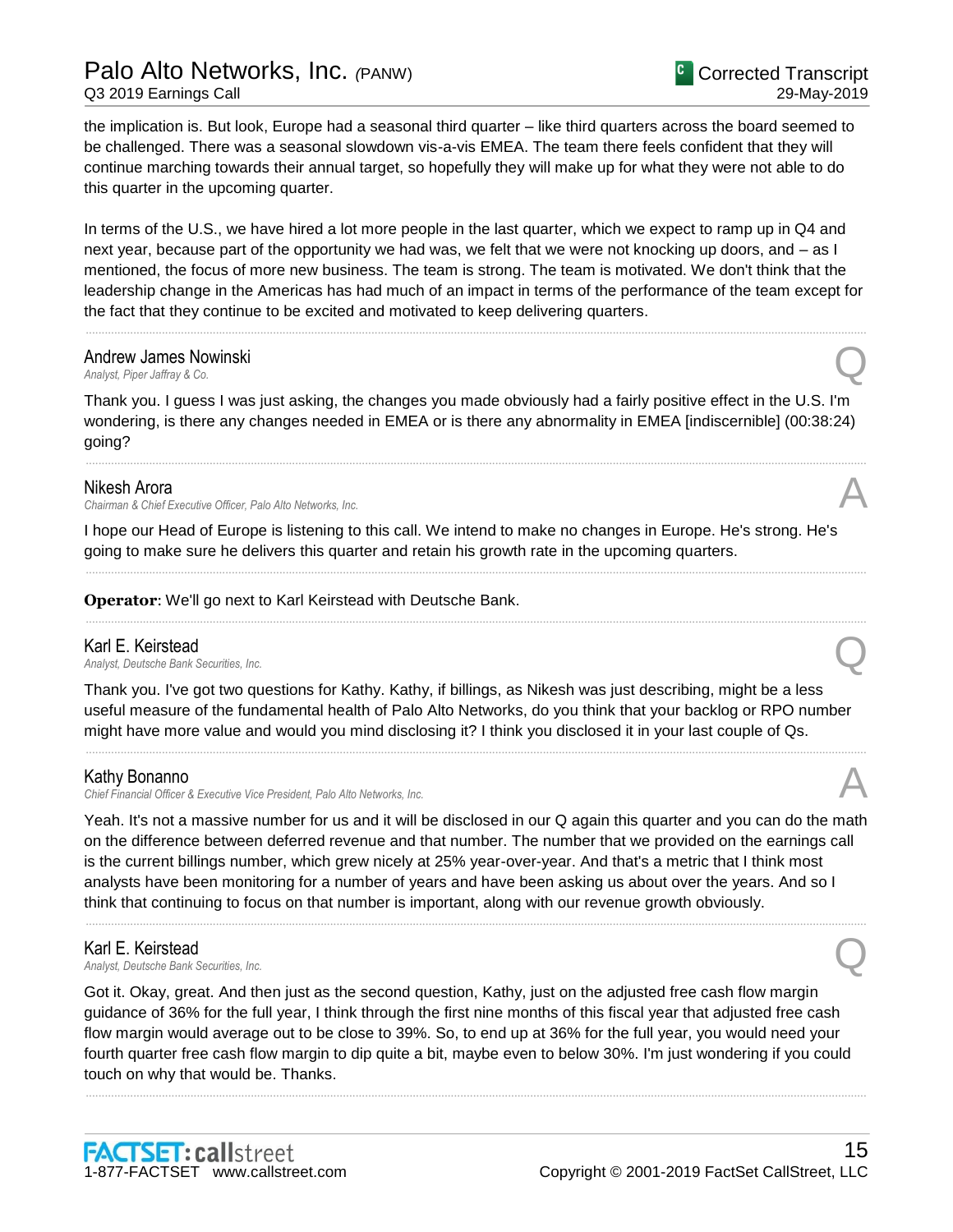# Palo Alto Networks, Inc. *(*PANW)

Q3 2019 Earnings Call

the implication is. But look, Europe had a seasonal third quarter – like third quarters across the board seemed to be challenged. There was a seasonal slowdown vis-a-vis EMEA. The team there feels confident that they will continue marching towards their annual target, so hopefully they will make up for what they were not able to do this quarter in the upcoming quarter.

In terms of the U.S., we have hired a lot more people in the last quarter, which we expect to ramp up in Q4 and next year, because part of the opportunity we had was, we felt that we were not knocking up doors, and – as I mentioned, the focus of more new business. The team is strong. The team is motivated. We don't think that the leadership change in the Americas has had much of an impact in terms of the performance of the team except for the fact that they continue to be excited and motivated to keep delivering quarters.

......................................................................................................................................................................................................................................................

# **Andrew James Nowinski**<br>Analyst, Piper Jaffray & Co. *Analyst, Piper Jaffray & Co.* Q

Thank you. I guess I was just asking, the changes you made obviously had a fairly positive effect in the U.S. I'm wondering, is there any changes needed in EMEA or is there any abnormality in EMEA [indiscernible] (00:38:24) going?

......................................................................................................................................................................................................................................................

### Nikesh Arora

*Chairman & Chief Executive Officer, Palo Alto Networks, Inc.* A

I hope our Head of Europe is listening to this call. We intend to make no changes in Europe. He's strong. He's going to make sure he delivers this quarter and retain his growth rate in the upcoming quarters.

......................................................................................................................................................................................................................................................

......................................................................................................................................................................................................................................................

**Operator**: We'll go next to Karl Keirstead with Deutsche Bank.

#### Karl E. Keirstead

*Analyst, Deutsche Bank Securities, Inc.* Q

Thank you. I've got two questions for Kathy. Kathy, if billings, as Nikesh was just describing, might be a less useful measure of the fundamental health of Palo Alto Networks, do you think that your backlog or RPO number might have more value and would you mind disclosing it? I think you disclosed it in your last couple of Qs.

......................................................................................................................................................................................................................................................

### Kathy Bonanno

*Chief Financial Officer & Executive Vice President, Palo Alto Networks, Inc.* A

Yeah. It's not a massive number for us and it will be disclosed in our Q again this quarter and you can do the math on the difference between deferred revenue and that number. The number that we provided on the earnings call is the current billings number, which grew nicely at 25% year-over-year. And that's a metric that I think most analysts have been monitoring for a number of years and have been asking us about over the years. And so I think that continuing to focus on that number is important, along with our revenue growth obviously.

......................................................................................................................................................................................................................................................

**Karl E. Keirstead**<br>Analyst, Deutsche Bank Securities, Inc. *Analyst, Deutsche Bank Securities, Inc.* Q

Got it. Okay, great. And then just as the second question, Kathy, just on the adjusted free cash flow margin guidance of 36% for the full year, I think through the first nine months of this fiscal year that adjusted free cash flow margin would average out to be close to 39%. So, to end up at 36% for the full year, you would need your fourth quarter free cash flow margin to dip quite a bit, maybe even to below 30%. I'm just wondering if you could touch on why that would be. Thanks.

......................................................................................................................................................................................................................................................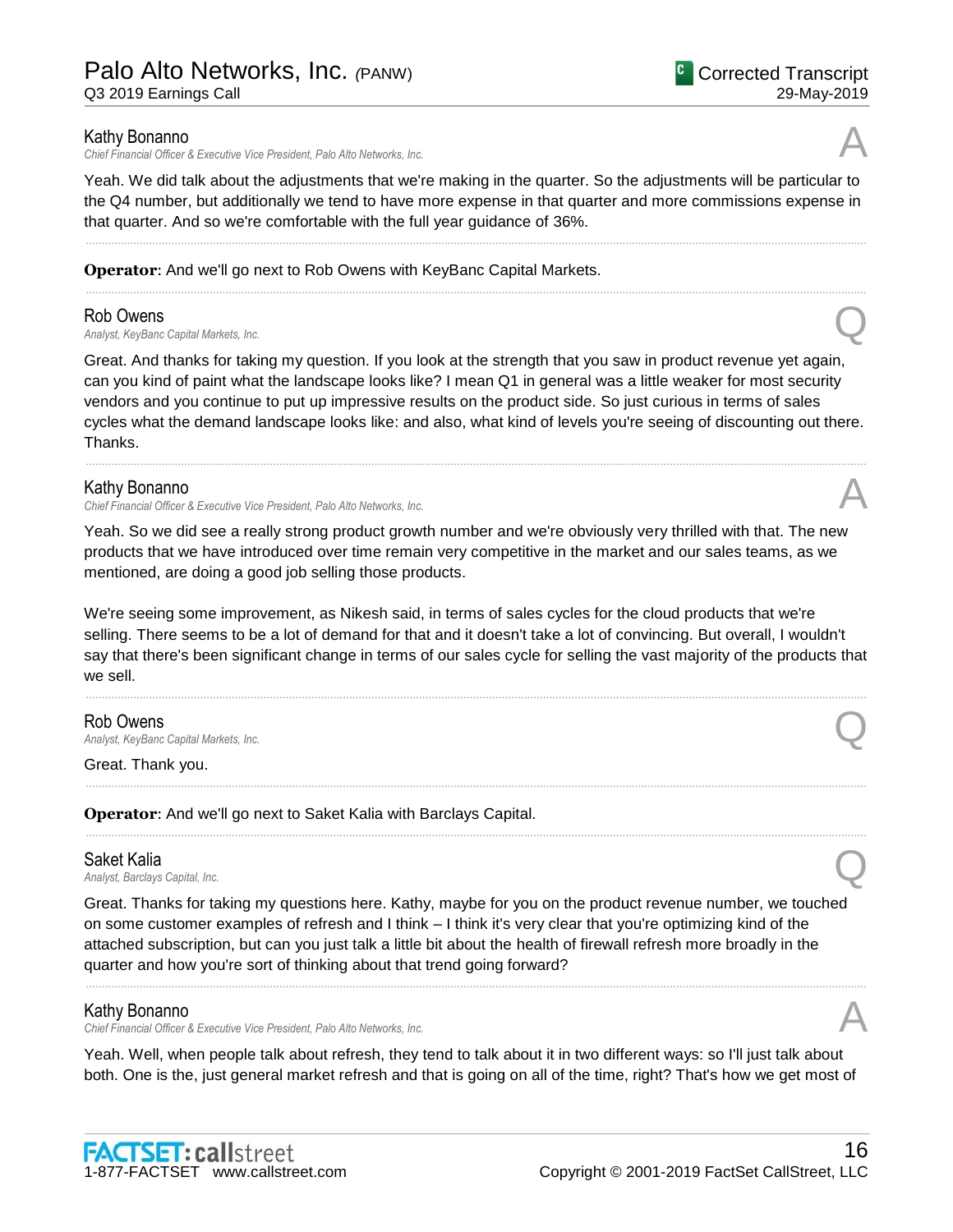# Palo Alto Networks, Inc. *(*PANW)

Q3 2019 Earnings Call

### Kathy Bonanno

*Chief Financial Officer & Executive Vice President, Palo Alto Networks, Inc.* A

Yeah. We did talk about the adjustments that we're making in the quarter. So the adjustments will be particular to the Q4 number, but additionally we tend to have more expense in that quarter and more commissions expense in that quarter. And so we're comfortable with the full year guidance of 36%.

......................................................................................................................................................................................................................................................

......................................................................................................................................................................................................................................................

## **Operator**: And we'll go next to Rob Owens with KeyBanc Capital Markets.

Rob Owens<br>Analyst, KeyBanc Capital Markets, Inc. *Analyst, KeyBanc Capital Markets, Inc.* Q

Great. And thanks for taking my question. If you look at the strength that you saw in product revenue yet again, can you kind of paint what the landscape looks like? I mean Q1 in general was a little weaker for most security vendors and you continue to put up impressive results on the product side. So just curious in terms of sales cycles what the demand landscape looks like: and also, what kind of levels you're seeing of discounting out there. Thanks.

......................................................................................................................................................................................................................................................

### Kathy Bonanno

*Chief Financial Officer & Executive Vice President, Palo Alto Networks, Inc.* A

Yeah. So we did see a really strong product growth number and we're obviously very thrilled with that. The new products that we have introduced over time remain very competitive in the market and our sales teams, as we mentioned, are doing a good job selling those products.

We're seeing some improvement, as Nikesh said, in terms of sales cycles for the cloud products that we're selling. There seems to be a lot of demand for that and it doesn't take a lot of convincing. But overall, I wouldn't say that there's been significant change in terms of our sales cycle for selling the vast majority of the products that we sell.

......................................................................................................................................................................................................................................................

......................................................................................................................................................................................................................................................

......................................................................................................................................................................................................................................................

Rob Owens *Analyst, KeyBanc Capital Markets, Inc.* Q

Great. Thank you.

**Operator**: And we'll go next to Saket Kalia with Barclays Capital.

### Saket Kalia

*Analyst, Barclays Capital, Inc.* Q

Great. Thanks for taking my questions here. Kathy, maybe for you on the product revenue number, we touched on some customer examples of refresh and I think – I think it's very clear that you're optimizing kind of the attached subscription, but can you just talk a little bit about the health of firewall refresh more broadly in the quarter and how you're sort of thinking about that trend going forward?

......................................................................................................................................................................................................................................................

## Kathy Bonanno

*Chief Financial Officer & Executive Vice President, Palo Alto Networks, Inc.* A

Yeah. Well, when people talk about refresh, they tend to talk about it in two different ways: so I'll just talk about both. One is the, just general market refresh and that is going on all of the time, right? That's how we get most of







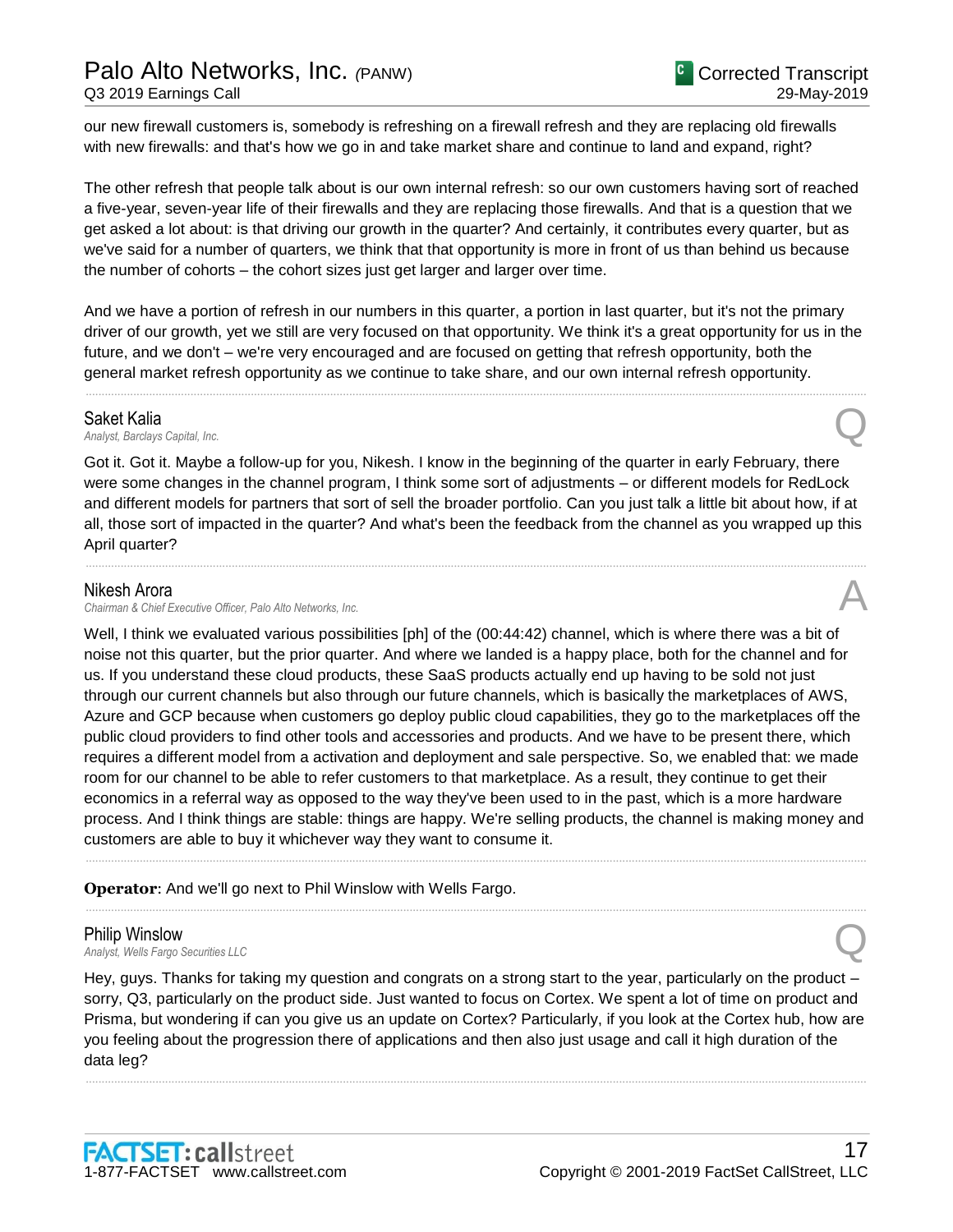our new firewall customers is, somebody is refreshing on a firewall refresh and they are replacing old firewalls with new firewalls: and that's how we go in and take market share and continue to land and expand, right?

The other refresh that people talk about is our own internal refresh: so our own customers having sort of reached a five-year, seven-year life of their firewalls and they are replacing those firewalls. And that is a question that we get asked a lot about: is that driving our growth in the quarter? And certainly, it contributes every quarter, but as we've said for a number of quarters, we think that that opportunity is more in front of us than behind us because the number of cohorts – the cohort sizes just get larger and larger over time.

And we have a portion of refresh in our numbers in this quarter, a portion in last quarter, but it's not the primary driver of our growth, yet we still are very focused on that opportunity. We think it's a great opportunity for us in the future, and we don't – we're very encouraged and are focused on getting that refresh opportunity, both the general market refresh opportunity as we continue to take share, and our own internal refresh opportunity.

......................................................................................................................................................................................................................................................

**Saket Kalia**<br>Analyst, Barclays Capital, Inc. *Analyst, Barclays Capital, Inc.* Q

Got it. Got it. Maybe a follow-up for you, Nikesh. I know in the beginning of the quarter in early February, there were some changes in the channel program, I think some sort of adjustments – or different models for RedLock and different models for partners that sort of sell the broader portfolio. Can you just talk a little bit about how, if at all, those sort of impacted in the quarter? And what's been the feedback from the channel as you wrapped up this April quarter?

......................................................................................................................................................................................................................................................

#### Nikesh Arora

*Chairman & Chief Executive Officer, Palo Alto Networks, Inc.* A

Well, I think we evaluated various possibilities [ph] of the (00:44:42) channel, which is where there was a bit of noise not this quarter, but the prior quarter. And where we landed is a happy place, both for the channel and for us. If you understand these cloud products, these SaaS products actually end up having to be sold not just through our current channels but also through our future channels, which is basically the marketplaces of AWS, Azure and GCP because when customers go deploy public cloud capabilities, they go to the marketplaces off the public cloud providers to find other tools and accessories and products. And we have to be present there, which requires a different model from a activation and deployment and sale perspective. So, we enabled that: we made room for our channel to be able to refer customers to that marketplace. As a result, they continue to get their economics in a referral way as opposed to the way they've been used to in the past, which is a more hardware process. And I think things are stable: things are happy. We're selling products, the channel is making money and customers are able to buy it whichever way they want to consume it.

......................................................................................................................................................................................................................................................

......................................................................................................................................................................................................................................................

**Operator**: And we'll go next to Phil Winslow with Wells Fargo.

# Philip Winslow

*Analyst, Wells Fargo Securities LLC* Q

Hey, guys. Thanks for taking my question and congrats on a strong start to the year, particularly on the product – sorry, Q3, particularly on the product side. Just wanted to focus on Cortex. We spent a lot of time on product and Prisma, but wondering if can you give us an update on Cortex? Particularly, if you look at the Cortex hub, how are you feeling about the progression there of applications and then also just usage and call it high duration of the data leg?

......................................................................................................................................................................................................................................................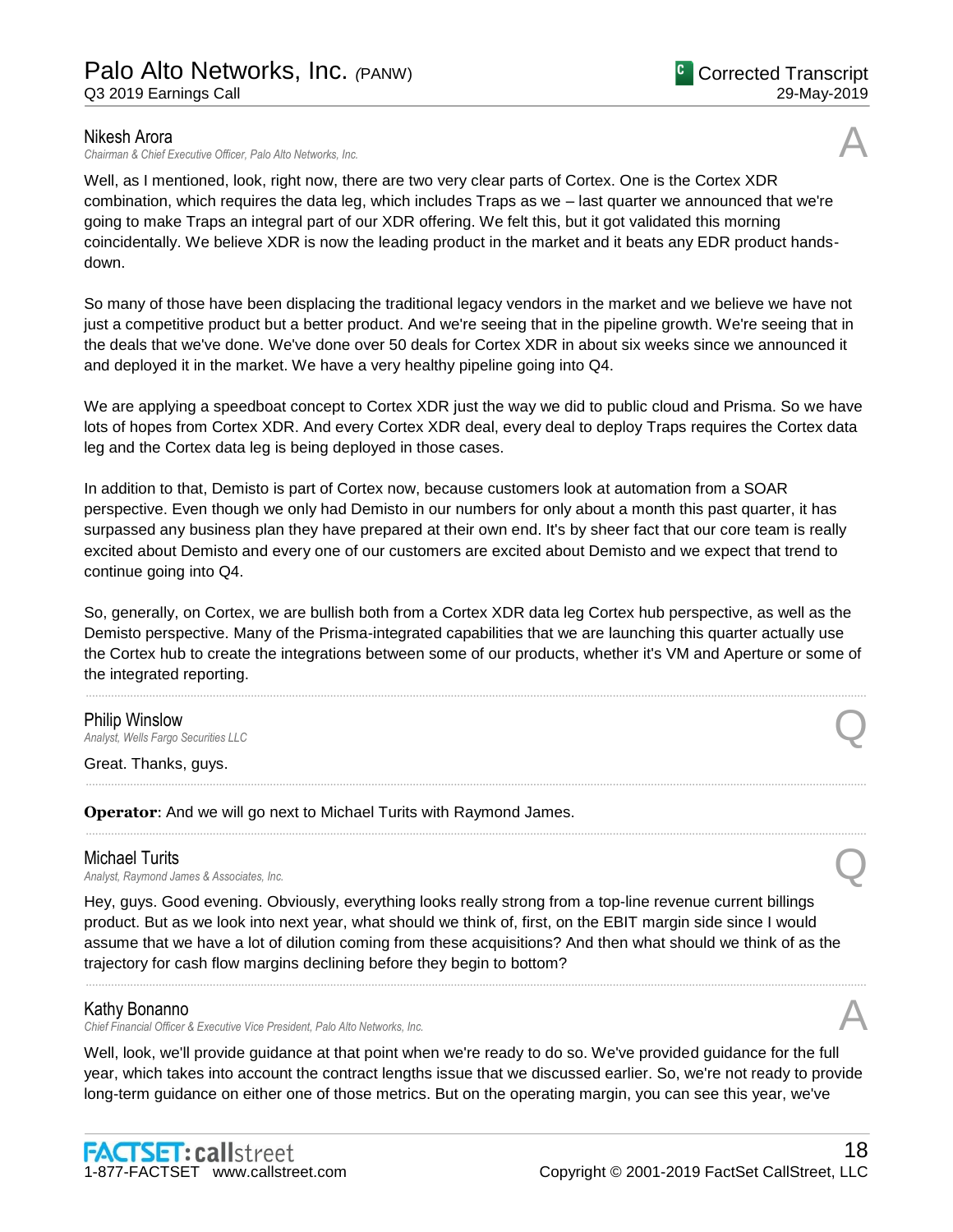### Nikesh Arora

*Chairman & Chief Executive Officer, Palo Alto Networks, Inc.* A

Well, as I mentioned, look, right now, there are two very clear parts of Cortex. One is the Cortex XDR combination, which requires the data leg, which includes Traps as we – last quarter we announced that we're going to make Traps an integral part of our XDR offering. We felt this, but it got validated this morning coincidentally. We believe XDR is now the leading product in the market and it beats any EDR product handsdown.

So many of those have been displacing the traditional legacy vendors in the market and we believe we have not just a competitive product but a better product. And we're seeing that in the pipeline growth. We're seeing that in the deals that we've done. We've done over 50 deals for Cortex XDR in about six weeks since we announced it and deployed it in the market. We have a very healthy pipeline going into Q4.

We are applying a speedboat concept to Cortex XDR just the way we did to public cloud and Prisma. So we have lots of hopes from Cortex XDR. And every Cortex XDR deal, every deal to deploy Traps requires the Cortex data leg and the Cortex data leg is being deployed in those cases.

In addition to that, Demisto is part of Cortex now, because customers look at automation from a SOAR perspective. Even though we only had Demisto in our numbers for only about a month this past quarter, it has surpassed any business plan they have prepared at their own end. It's by sheer fact that our core team is really excited about Demisto and every one of our customers are excited about Demisto and we expect that trend to continue going into Q4.

So, generally, on Cortex, we are bullish both from a Cortex XDR data leg Cortex hub perspective, as well as the Demisto perspective. Many of the Prisma-integrated capabilities that we are launching this quarter actually use the Cortex hub to create the integrations between some of our products, whether it's VM and Aperture or some of the integrated reporting.

......................................................................................................................................................................................................................................................

......................................................................................................................................................................................................................................................

......................................................................................................................................................................................................................................................

# **Philip Winslow**<br>Analyst, Wells Fargo Securities LLC *Analyst, Wells Fargo Securities LLC* Q

Great. Thanks, guys.

**Operator**: And we will go next to Michael Turits with Raymond James.

**Michael Turits**<br>Analyst, Raymond James & Associates. Inc. *Analyst, Raymond James & Associates, Inc.* Q

Hey, guys. Good evening. Obviously, everything looks really strong from a top-line revenue current billings product. But as we look into next year, what should we think of, first, on the EBIT margin side since I would assume that we have a lot of dilution coming from these acquisitions? And then what should we think of as the trajectory for cash flow margins declining before they begin to bottom?

### Kathy Bonanno

*Chief Financial Officer & Executive Vice President, Palo Alto Networks, Inc.* A

Well, look, we'll provide guidance at that point when we're ready to do so. We've provided guidance for the full year, which takes into account the contract lengths issue that we discussed earlier. So, we're not ready to provide long-term guidance on either one of those metrics. But on the operating margin, you can see this year, we've

......................................................................................................................................................................................................................................................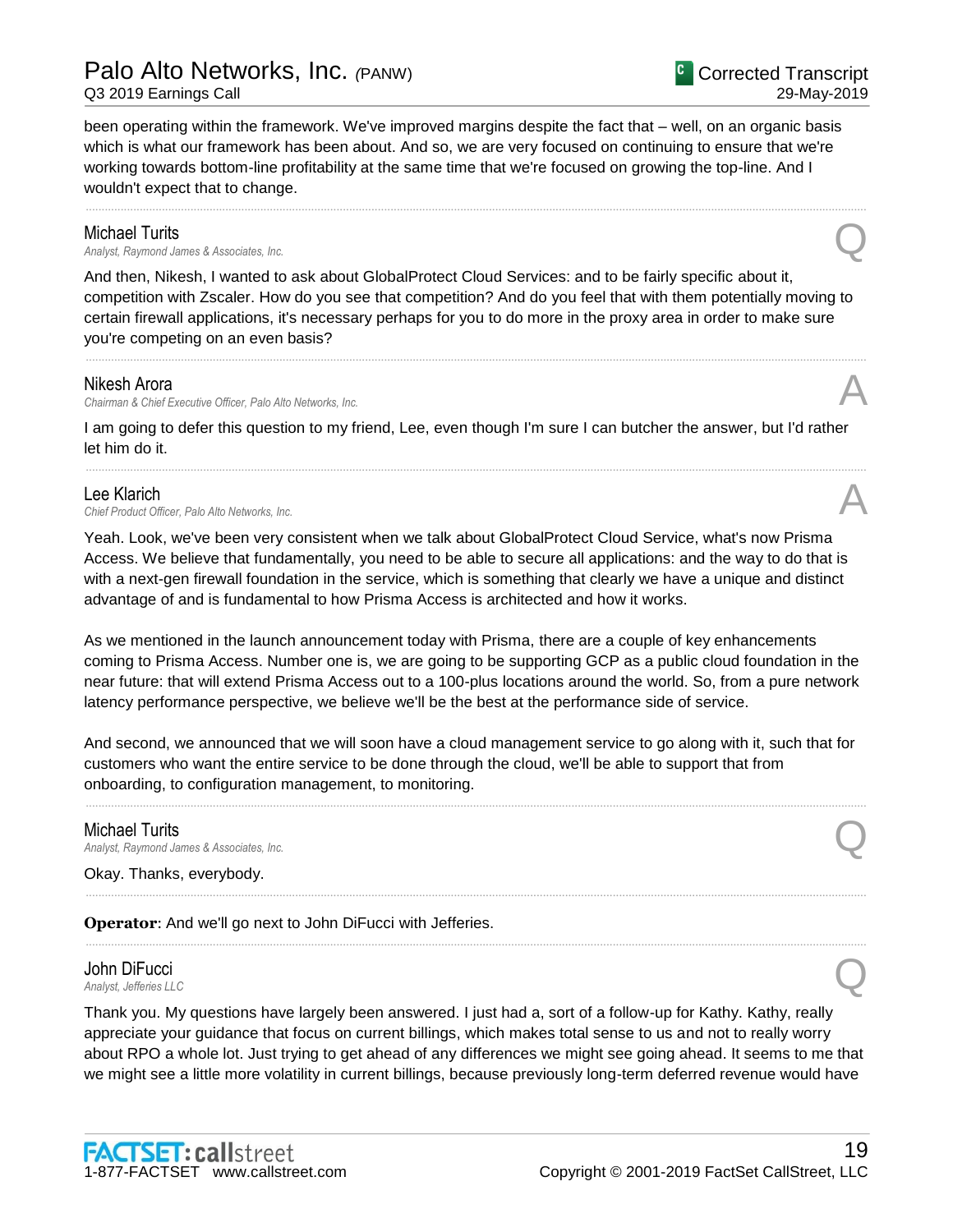been operating within the framework. We've improved margins despite the fact that – well, on an organic basis which is what our framework has been about. And so, we are very focused on continuing to ensure that we're working towards bottom-line profitability at the same time that we're focused on growing the top-line. And I wouldn't expect that to change.

......................................................................................................................................................................................................................................................

**Michael Turits**<br>Analyst, Raymond James & Associates, Inc. *Analyst, Raymond James & Associates, Inc.* Q

And then, Nikesh, I wanted to ask about GlobalProtect Cloud Services: and to be fairly specific about it, competition with Zscaler. How do you see that competition? And do you feel that with them potentially moving to certain firewall applications, it's necessary perhaps for you to do more in the proxy area in order to make sure you're competing on an even basis?

......................................................................................................................................................................................................................................................

#### Nikesh Arora

*Chairman & Chief Executive Officer, Palo Alto Networks, Inc.* A

I am going to defer this question to my friend, Lee, even though I'm sure I can butcher the answer, but I'd rather let him do it.

......................................................................................................................................................................................................................................................

#### Lee Klarich

Lee Klarich<br>Chief Product Officer, Palo Alto Networks, Inc.

Yeah. Look, we've been very consistent when we talk about GlobalProtect Cloud Service, what's now Prisma Access. We believe that fundamentally, you need to be able to secure all applications: and the way to do that is with a next-gen firewall foundation in the service, which is something that clearly we have a unique and distinct advantage of and is fundamental to how Prisma Access is architected and how it works.

As we mentioned in the launch announcement today with Prisma, there are a couple of key enhancements coming to Prisma Access. Number one is, we are going to be supporting GCP as a public cloud foundation in the near future: that will extend Prisma Access out to a 100-plus locations around the world. So, from a pure network latency performance perspective, we believe we'll be the best at the performance side of service.

And second, we announced that we will soon have a cloud management service to go along with it, such that for customers who want the entire service to be done through the cloud, we'll be able to support that from onboarding, to configuration management, to monitoring.

......................................................................................................................................................................................................................................................

......................................................................................................................................................................................................................................................

......................................................................................................................................................................................................................................................

# Michael Turits *Analyst, Raymond James & Associates, Inc.* Q

Okay. Thanks, everybody.

**Operator**: And we'll go next to John DiFucci with Jefferies.

# John DiFucci *Analyst, Jefferies LLC* Q

Thank you. My questions have largely been answered. I just had a, sort of a follow-up for Kathy. Kathy, really appreciate your guidance that focus on current billings, which makes total sense to us and not to really worry about RPO a whole lot. Just trying to get ahead of any differences we might see going ahead. It seems to me that we might see a little more volatility in current billings, because previously long-term deferred revenue would have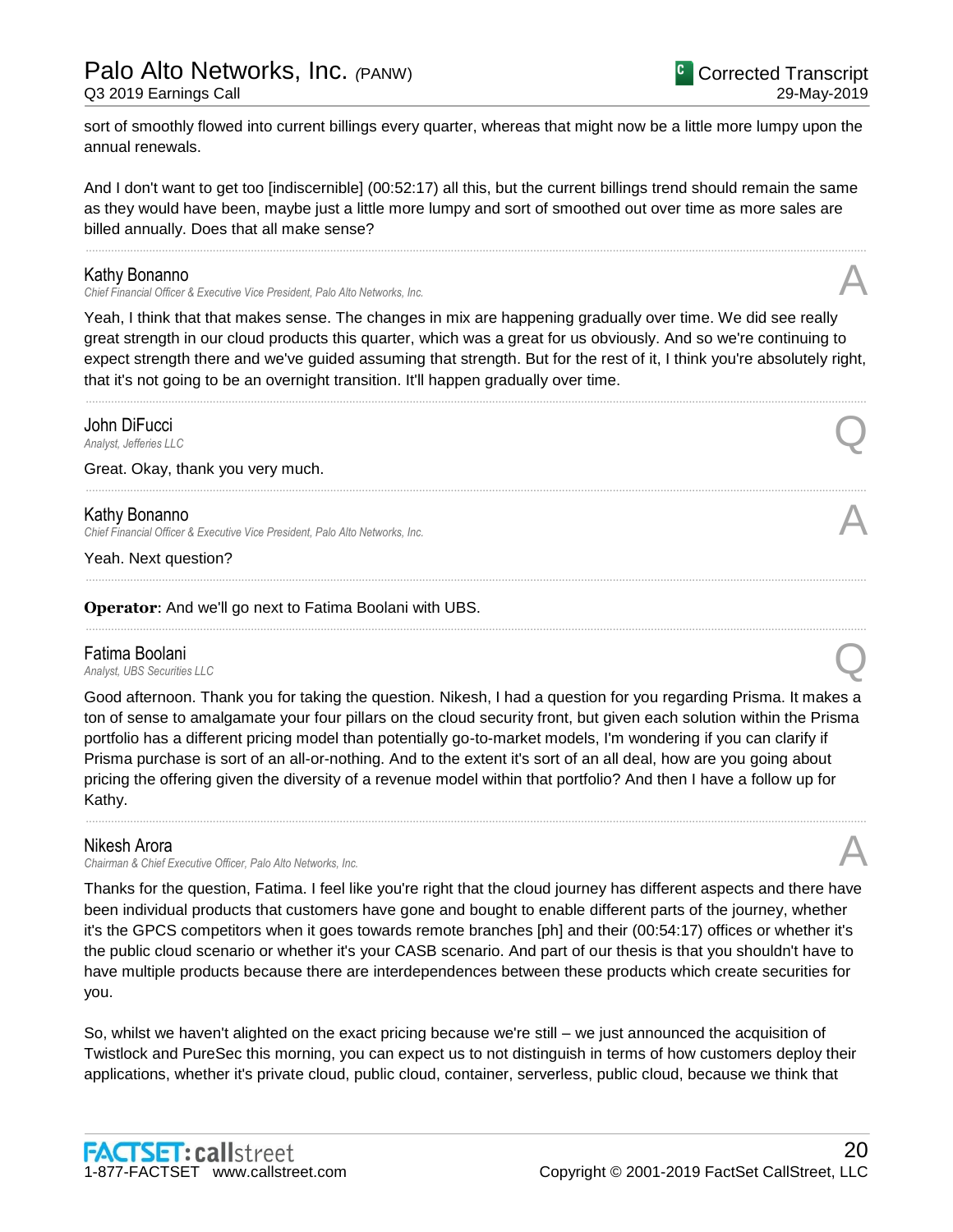sort of smoothly flowed into current billings every quarter, whereas that might now be a little more lumpy upon the annual renewals.

And I don't want to get too [indiscernible] (00:52:17) all this, but the current billings trend should remain the same as they would have been, maybe just a little more lumpy and sort of smoothed out over time as more sales are billed annually. Does that all make sense?

......................................................................................................................................................................................................................................................

### Kathy Bonanno

*Chief Financial Officer & Executive Vice President, Palo Alto Networks, Inc.* A

Yeah, I think that that makes sense. The changes in mix are happening gradually over time. We did see really great strength in our cloud products this quarter, which was a great for us obviously. And so we're continuing to expect strength there and we've guided assuming that strength. But for the rest of it, I think you're absolutely right, that it's not going to be an overnight transition. It'll happen gradually over time.

......................................................................................................................................................................................................................................................

......................................................................................................................................................................................................................................................

......................................................................................................................................................................................................................................................

......................................................................................................................................................................................................................................................

**John DiFucci**<br>Analyst, Jefferies LLC *Analyst, Jefferies LLC* Q

Great. Okay, thank you very much.

#### Kathy Bonanno

*Chief Financial Officer & Executive Vice President, Palo Alto Networks, Inc.* A

Yeah. Next question?

**Operator**: And we'll go next to Fatima Boolani with UBS.

### Fatima Boolani

**Fatima Boolani**<br>Analyst, UBS Securities LLC

Good afternoon. Thank you for taking the question. Nikesh, I had a question for you regarding Prisma. It makes a ton of sense to amalgamate your four pillars on the cloud security front, but given each solution within the Prisma portfolio has a different pricing model than potentially go-to-market models, I'm wondering if you can clarify if Prisma purchase is sort of an all-or-nothing. And to the extent it's sort of an all deal, how are you going about pricing the offering given the diversity of a revenue model within that portfolio? And then I have a follow up for Kathy.

......................................................................................................................................................................................................................................................

### Nikesh Arora

*Chairman & Chief Executive Officer, Palo Alto Networks, Inc.* A

Thanks for the question, Fatima. I feel like you're right that the cloud journey has different aspects and there have been individual products that customers have gone and bought to enable different parts of the journey, whether it's the GPCS competitors when it goes towards remote branches [ph] and their (00:54:17) offices or whether it's the public cloud scenario or whether it's your CASB scenario. And part of our thesis is that you shouldn't have to have multiple products because there are interdependences between these products which create securities for you.

So, whilst we haven't alighted on the exact pricing because we're still – we just announced the acquisition of Twistlock and PureSec this morning, you can expect us to not distinguish in terms of how customers deploy their applications, whether it's private cloud, public cloud, container, serverless, public cloud, because we think that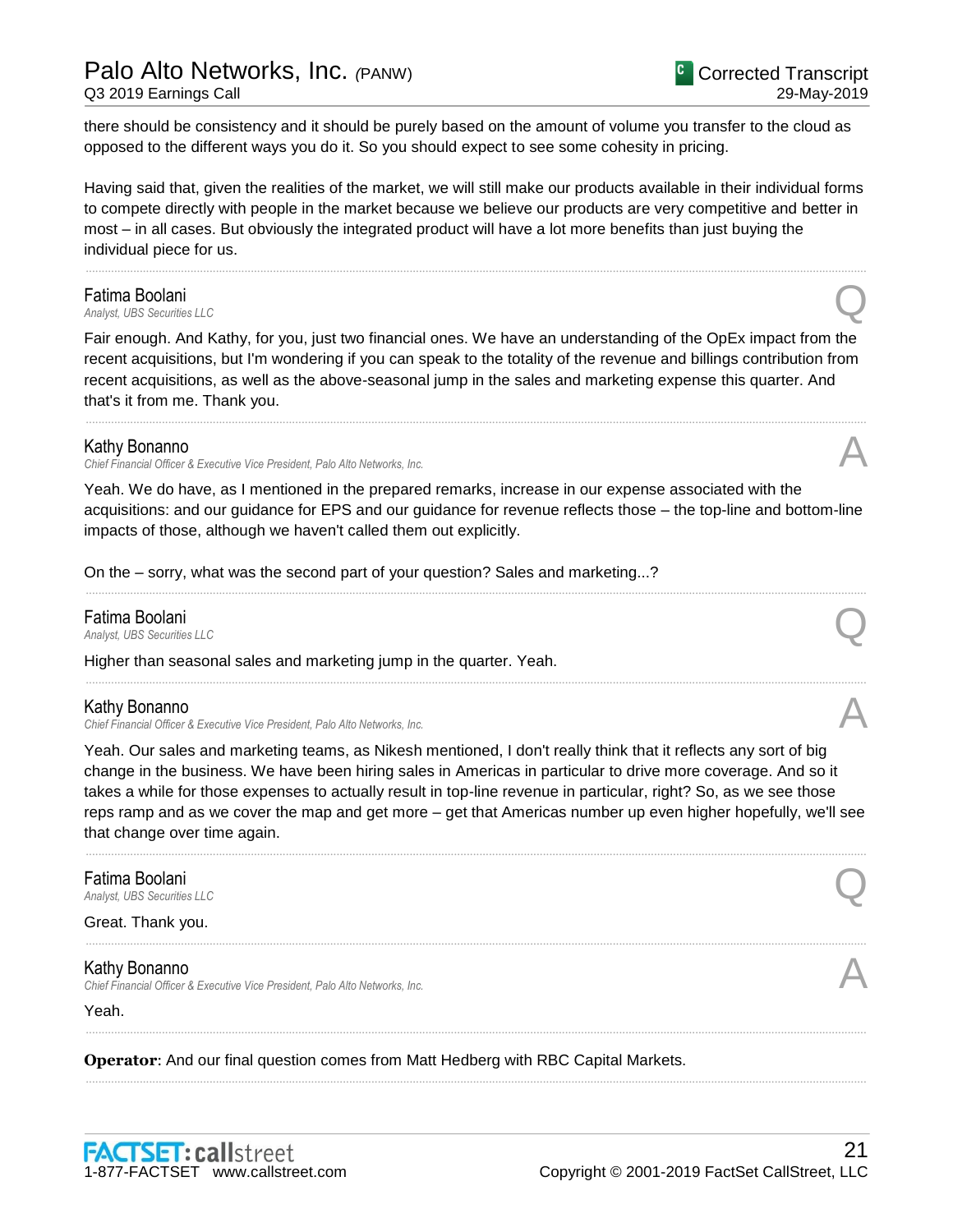# Palo Alto Networks, Inc. *(*PANW)

Q3 2019 Earnings Call

there should be consistency and it should be purely based on the amount of volume you transfer to the cloud as opposed to the different ways you do it. So you should expect to see some cohesity in pricing.

Having said that, given the realities of the market, we will still make our products available in their individual forms to compete directly with people in the market because we believe our products are very competitive and better in most – in all cases. But obviously the integrated product will have a lot more benefits than just buying the individual piece for us.

......................................................................................................................................................................................................................................................

# **Fatima Boolani**<br>Analyst, UBS Securities LLC

**Fatima Boolani**<br>Analyst, UBS Securities LLC

Fair enough. And Kathy, for you, just two financial ones. We have an understanding of the OpEx impact from the recent acquisitions, but I'm wondering if you can speak to the totality of the revenue and billings contribution from recent acquisitions, as well as the above-seasonal jump in the sales and marketing expense this quarter. And that's it from me. Thank you.

......................................................................................................................................................................................................................................................

### Kathy Bonanno

*Chief Financial Officer & Executive Vice President, Palo Alto Networks, Inc.* A

Yeah. We do have, as I mentioned in the prepared remarks, increase in our expense associated with the acquisitions: and our guidance for EPS and our guidance for revenue reflects those – the top-line and bottom-line impacts of those, although we haven't called them out explicitly.

......................................................................................................................................................................................................................................................

......................................................................................................................................................................................................................................................

On the – sorry, what was the second part of your question? Sales and marketing...?

# **Fatima Boolani**<br>Analyst, UBS Securities LLC

**Fatima Boolani**<br>Analyst, UBS Securities LLC

Higher than seasonal sales and marketing jump in the quarter. Yeah.

### Kathy Bonanno

*Chief Financial Officer & Executive Vice President, Palo Alto Networks, Inc.* A

Yeah. Our sales and marketing teams, as Nikesh mentioned, I don't really think that it reflects any sort of big change in the business. We have been hiring sales in Americas in particular to drive more coverage. And so it takes a while for those expenses to actually result in top-line revenue in particular, right? So, as we see those reps ramp and as we cover the map and get more – get that Americas number up even higher hopefully, we'll see that change over time again.

......................................................................................................................................................................................................................................................

......................................................................................................................................................................................................................................................

......................................................................................................................................................................................................................................................

......................................................................................................................................................................................................................................................

**Fatima Boolani**<br>Analyst, UBS Securities LLC **Fatima Boolani**<br>Analyst, UBS Securities LLC

Great. Thank you.

### Kathy Bonanno

*Chief Financial Officer & Executive Vice President, Palo Alto Networks, Inc.* A

Yeah.

**Operator**: And our final question comes from Matt Hedberg with RBC Capital Markets.

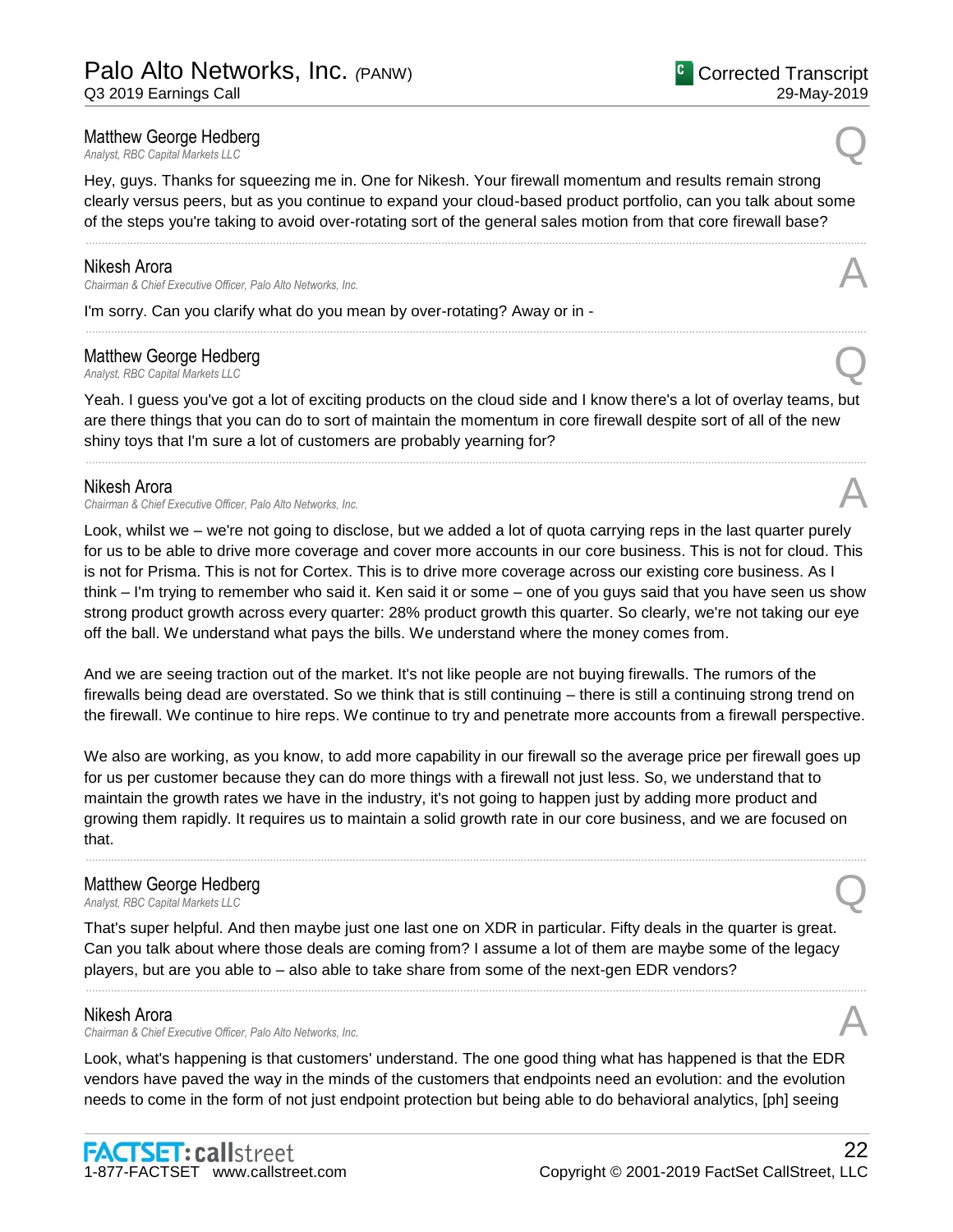Hey, guys. Thanks for squeezing me in. One for Nikesh. Your firewall momentum and results remain strong clearly versus peers, but as you continue to expand your cloud-based product portfolio, can you talk about some of the steps you're taking to avoid over-rotating sort of the general sales motion from that core firewall base?

......................................................................................................................................................................................................................................................

......................................................................................................................................................................................................................................................

#### Nikesh Arora

*Chairman & Chief Executive Officer, Palo Alto Networks, Inc.* A

I'm sorry. Can you clarify what do you mean by over-rotating? Away or in -

# Matthew George Hedberg **Matthew George Hedberg**<br> *Analyst, RBC Capital Markets LLC*

Yeah. I guess you've got a lot of exciting products on the cloud side and I know there's a lot of overlay teams, but are there things that you can do to sort of maintain the momentum in core firewall despite sort of all of the new shiny toys that I'm sure a lot of customers are probably yearning for?

......................................................................................................................................................................................................................................................

#### Nikesh Arora

*Chairman & Chief Executive Officer, Palo Alto Networks, Inc.* A

Look, whilst we – we're not going to disclose, but we added a lot of quota carrying reps in the last quarter purely for us to be able to drive more coverage and cover more accounts in our core business. This is not for cloud. This is not for Prisma. This is not for Cortex. This is to drive more coverage across our existing core business. As I think – I'm trying to remember who said it. Ken said it or some – one of you guys said that you have seen us show strong product growth across every quarter: 28% product growth this quarter. So clearly, we're not taking our eye off the ball. We understand what pays the bills. We understand where the money comes from.

And we are seeing traction out of the market. It's not like people are not buying firewalls. The rumors of the firewalls being dead are overstated. So we think that is still continuing – there is still a continuing strong trend on the firewall. We continue to hire reps. We continue to try and penetrate more accounts from a firewall perspective.

We also are working, as you know, to add more capability in our firewall so the average price per firewall goes up for us per customer because they can do more things with a firewall not just less. So, we understand that to maintain the growth rates we have in the industry, it's not going to happen just by adding more product and growing them rapidly. It requires us to maintain a solid growth rate in our core business, and we are focused on that.

......................................................................................................................................................................................................................................................

# Matthew George Hedberg **Matthew George Hedberg**<br> *Analyst, RBC Capital Markets LLC*

That's super helpful. And then maybe just one last one on XDR in particular. Fifty deals in the quarter is great. Can you talk about where those deals are coming from? I assume a lot of them are maybe some of the legacy players, but are you able to – also able to take share from some of the next-gen EDR vendors?

......................................................................................................................................................................................................................................................

### Nikesh Arora

*Chairman & Chief Executive Officer, Palo Alto Networks, Inc.* A

Look, what's happening is that customers' understand. The one good thing what has happened is that the EDR vendors have paved the way in the minds of the customers that endpoints need an evolution: and the evolution needs to come in the form of not just endpoint protection but being able to do behavioral analytics, [ph] seeing

29-May-2019

Corrected Transcript

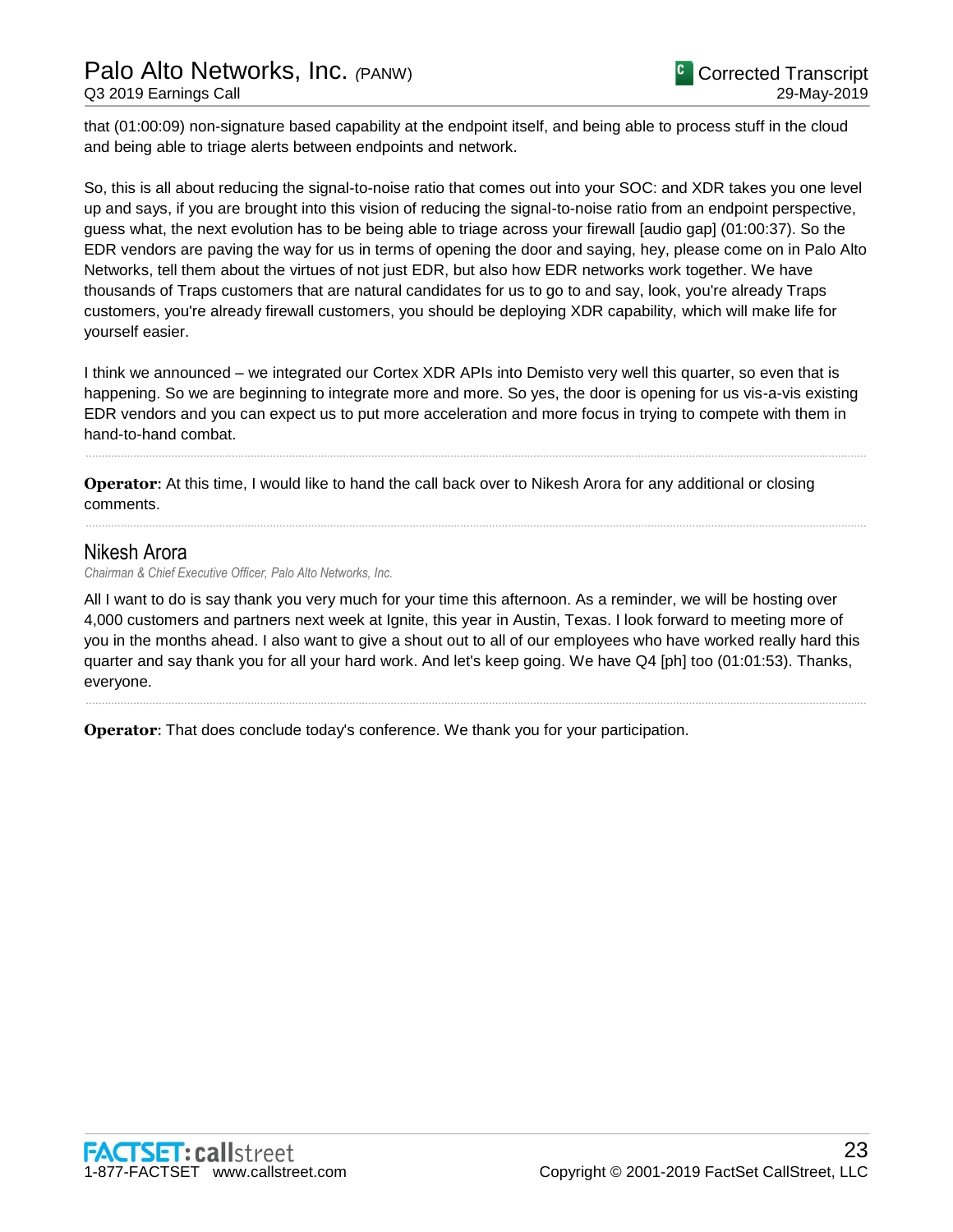that (01:00:09) non-signature based capability at the endpoint itself, and being able to process stuff in the cloud and being able to triage alerts between endpoints and network.

So, this is all about reducing the signal-to-noise ratio that comes out into your SOC: and XDR takes you one level up and says, if you are brought into this vision of reducing the signal-to-noise ratio from an endpoint perspective, guess what, the next evolution has to be being able to triage across your firewall [audio gap] (01:00:37). So the EDR vendors are paving the way for us in terms of opening the door and saying, hey, please come on in Palo Alto Networks, tell them about the virtues of not just EDR, but also how EDR networks work together. We have thousands of Traps customers that are natural candidates for us to go to and say, look, you're already Traps customers, you're already firewall customers, you should be deploying XDR capability, which will make life for yourself easier.

I think we announced – we integrated our Cortex XDR APIs into Demisto very well this quarter, so even that is happening. So we are beginning to integrate more and more. So yes, the door is opening for us vis-a-vis existing EDR vendors and you can expect us to put more acceleration and more focus in trying to compete with them in hand-to-hand combat.

......................................................................................................................................................................................................................................................

......................................................................................................................................................................................................................................................

**Operator**: At this time, I would like to hand the call back over to Nikesh Arora for any additional or closing comments.

## Nikesh Arora

*Chairman & Chief Executive Officer, Palo Alto Networks, Inc.*

All I want to do is say thank you very much for your time this afternoon. As a reminder, we will be hosting over 4,000 customers and partners next week at Ignite, this year in Austin, Texas. I look forward to meeting more of you in the months ahead. I also want to give a shout out to all of our employees who have worked really hard this quarter and say thank you for all your hard work. And let's keep going. We have Q4 [ph] too (01:01:53). Thanks, everyone.

......................................................................................................................................................................................................................................................

**Operator**: That does conclude today's conference. We thank you for your participation.